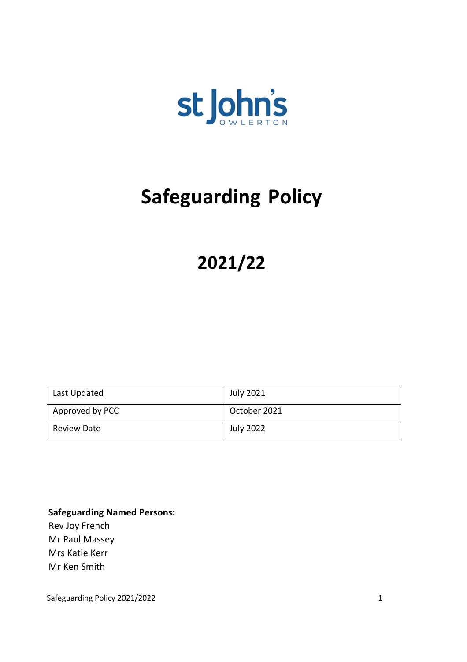

# **Safeguarding Policy**

## **2021/22**

| Last Updated       | July 2021        |
|--------------------|------------------|
| Approved by PCC    | October 2021     |
| <b>Review Date</b> | <b>July 2022</b> |

**Safeguarding Named Persons:** Rev Joy French Mr Paul Massey Mrs Katie Kerr Mr Ken Smith

Safeguarding Policy 2021/2022 1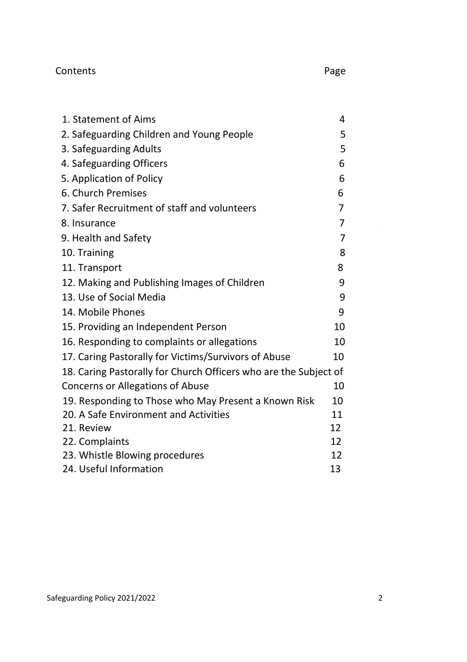## Contents

| ٦<br>× |
|--------|
|--------|

 $\sim 10^{-10}$ 

| 1. Statement of Aims                                             | 4              |
|------------------------------------------------------------------|----------------|
| 2. Safeguarding Children and Young People                        | 5              |
| 3. Safeguarding Adults                                           | 5              |
| 4. Safeguarding Officers                                         | 6              |
| 5. Application of Policy                                         | 6              |
| 6. Church Premises                                               | 6              |
| 7. Safer Recruitment of staff and volunteers                     | 7              |
| 8. Insurance                                                     | 7              |
| 9. Health and Safety                                             | $\overline{7}$ |
| 10. Training                                                     | 8              |
| 11. Transport                                                    | 8              |
| 12. Making and Publishing Images of Children                     | 9              |
| 13. Use of Social Media                                          | 9              |
| 14. Mobile Phones                                                | 9              |
| 15. Providing an Independent Person                              | 10             |
| 16. Responding to complaints or allegations                      | 10             |
| 17. Caring Pastorally for Victims/Survivors of Abuse             | 10             |
| 18. Caring Pastorally for Church Officers who are the Subject of |                |
| Concerns or Allegations of Abuse                                 | 10             |
| 19. Responding to Those who May Present a Known Risk             | 10             |
| 20. A Safe Environment and Activities                            | 11             |
| 21. Review                                                       | 12             |
| 22. Complaints                                                   | 12             |
| 23. Whistle Blowing procedures                                   | 12             |
| 24. Useful Information                                           | 13             |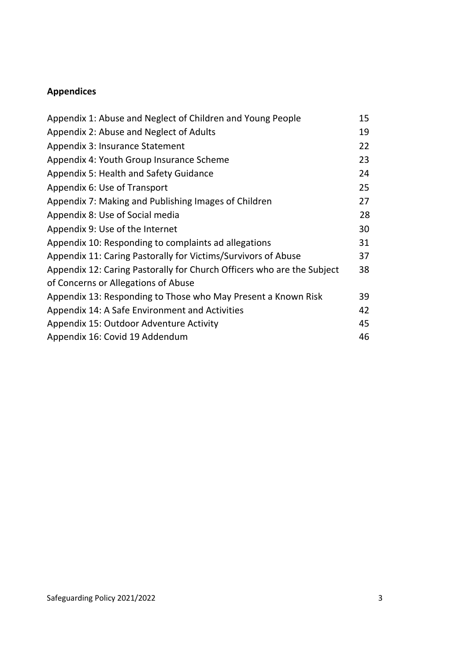## **Appendices**

| Appendix 1: Abuse and Neglect of Children and Young People             | 15 |
|------------------------------------------------------------------------|----|
| Appendix 2: Abuse and Neglect of Adults                                | 19 |
| Appendix 3: Insurance Statement                                        | 22 |
| Appendix 4: Youth Group Insurance Scheme                               | 23 |
| Appendix 5: Health and Safety Guidance                                 | 24 |
| Appendix 6: Use of Transport                                           | 25 |
| Appendix 7: Making and Publishing Images of Children                   | 27 |
| Appendix 8: Use of Social media                                        | 28 |
| Appendix 9: Use of the Internet                                        | 30 |
| Appendix 10: Responding to complaints ad allegations                   | 31 |
| Appendix 11: Caring Pastorally for Victims/Survivors of Abuse          | 37 |
| Appendix 12: Caring Pastorally for Church Officers who are the Subject | 38 |
| of Concerns or Allegations of Abuse                                    |    |
| Appendix 13: Responding to Those who May Present a Known Risk          | 39 |
| Appendix 14: A Safe Environment and Activities                         | 42 |
| Appendix 15: Outdoor Adventure Activity                                | 45 |
| Appendix 16: Covid 19 Addendum                                         | 46 |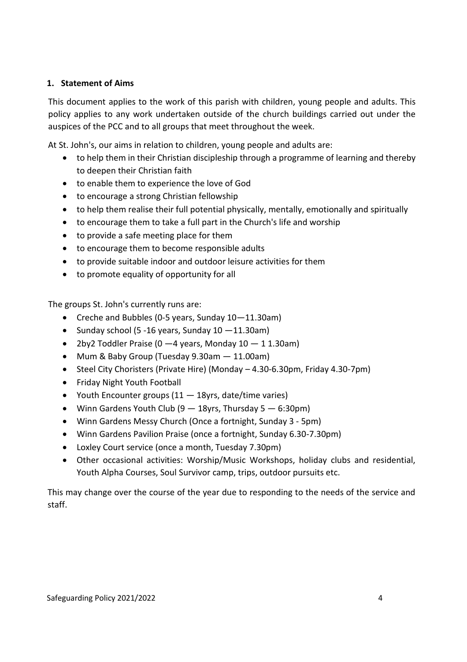## **1. Statement of Aims**

This document applies to the work of this parish with children, young people and adults. This policy applies to any work undertaken outside of the church buildings carried out under the auspices of the PCC and to all groups that meet throughout the week.

At St. John's, our aims in relation to children, young people and adults are:

- to help them in their Christian discipleship through a programme of learning and thereby to deepen their Christian faith
- to enable them to experience the love of God
- to encourage a strong Christian fellowship
- to help them realise their full potential physically, mentally, emotionally and spiritually
- to encourage them to take a full part in the Church's life and worship
- to provide a safe meeting place for them
- to encourage them to become responsible adults
- to provide suitable indoor and outdoor leisure activities for them
- to promote equality of opportunity for all

The groups St. John's currently runs are:

- Creche and Bubbles (0-5 years, Sunday 10—11.30am)
- Sunday school (5 -16 years, Sunday  $10 11.30$ am)
- 2by2 Toddler Praise (0  $-4$  years, Monday 10  $-$  1 1.30am)
- Mum & Baby Group (Tuesday 9.30am 11.00am)
- Steel City Choristers (Private Hire) (Monday 4.30-6.30pm, Friday 4.30-7pm)
- Friday Night Youth Football
- Youth Encounter groups (11 18yrs, date/time varies)
- Winn Gardens Youth Club  $(9 18yrs,$  Thursday  $5 6:30pm$ )
- Winn Gardens Messy Church (Once a fortnight, Sunday 3 5pm)
- Winn Gardens Pavilion Praise (once a fortnight, Sunday 6.30-7.30pm)
- Loxley Court service (once a month, Tuesday 7.30pm)
- Other occasional activities: Worship/Music Workshops, holiday clubs and residential, Youth Alpha Courses, Soul Survivor camp, trips, outdoor pursuits etc.

This may change over the course of the year due to responding to the needs of the service and staff.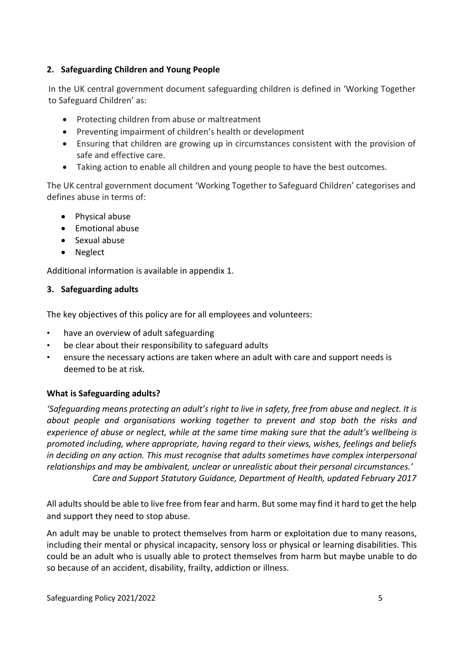## **2. Safeguarding Children and Young People**

In the UK central government document safeguarding children is defined in 'Working Together to Safeguard Children' as:

- Protecting children from abuse or maltreatment
- Preventing impairment of children's health or development
- Ensuring that children are growing up in circumstances consistent with the provision of safe and effective care.
- Taking action to enable all children and young people to have the best outcomes.

The UK central government document 'Working Together to Safeguard Children' categorises and defines abuse in terms of:

- Physical abuse
- Emotional abuse
- Sexual abuse
- Neglect

Additional information is available in appendix 1.

#### **3. Safeguarding adults**

The key objectives of this policy are for all employees and volunteers:

- have an overview of adult safeguarding
- be clear about their responsibility to safeguard adults
- ensure the necessary actions are taken where an adult with care and support needs is deemed to be at risk.

## **What is Safeguarding adults?**

*'Safeguarding means protecting an adult's right to live in safety, free from abuse and neglect. It is about people and organisations working together to prevent and stop both the risks and experience of abuse or neglect, while at the same time making sure that the adult's wellbeing is promoted including, where appropriate, having regard to their views, wishes, feelings and beliefs in deciding on any action. This must recognise that adults sometimes have complex interpersonal relationships and may be ambivalent, unclear or unrealistic about their personal circumstances.' Care and Support Statutory Guidance, Department of Health, updated February 2017*

All adults should be able to live free from fear and harm. But some may find it hard to get the help and support they need to stop abuse.

An adult may be unable to protect themselves from harm or exploitation due to many reasons, including their mental or physical incapacity, sensory loss or physical or learning disabilities. This could be an adult who is usually able to protect themselves from harm but maybe unable to do so because of an accident, disability, frailty, addiction or illness.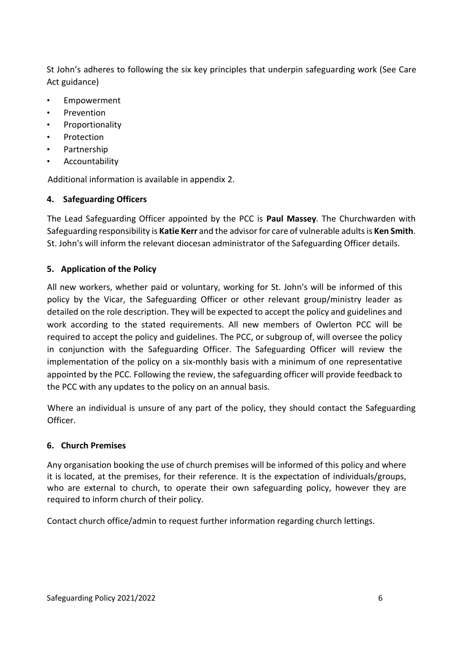St John's adheres to following the six key principles that underpin safeguarding work (See Care Act guidance)

- **Empowerment**
- **Prevention**
- **Proportionality**
- **Protection**
- Partnership
- **Accountability**

Additional information is available in appendix 2.

## **4. Safeguarding Officers**

The Lead Safeguarding Officer appointed by the PCC is **Paul Massey**. The Churchwarden with Safeguarding responsibility is **Katie Kerr** and the advisor for care of vulnerable adultsis **Ken Smith**. St. John's will inform the relevant diocesan administrator of the Safeguarding Officer details.

## **5. Application of the Policy**

All new workers, whether paid or voluntary, working for St. John's will be informed of this policy by the Vicar, the Safeguarding Officer or other relevant group/ministry leader as detailed on the role description. They will be expected to accept the policy and guidelines and work according to the stated requirements. All new members of Owlerton PCC will be required to accept the policy and guidelines. The PCC, or subgroup of, will oversee the policy in conjunction with the Safeguarding Officer. The Safeguarding Officer will review the implementation of the policy on a six-monthly basis with a minimum of one representative appointed by the PCC. Following the review, the safeguarding officer will provide feedback to the PCC with any updates to the policy on an annual basis.

Where an individual is unsure of any part of the policy, they should contact the Safeguarding Officer.

#### **6. Church Premises**

Any organisation booking the use of church premises will be informed of this policy and where it is located, at the premises, for their reference. It is the expectation of individuals/groups, who are external to church, to operate their own safeguarding policy, however they are required to inform church of their policy.

Contact church office/admin to request further information regarding church lettings.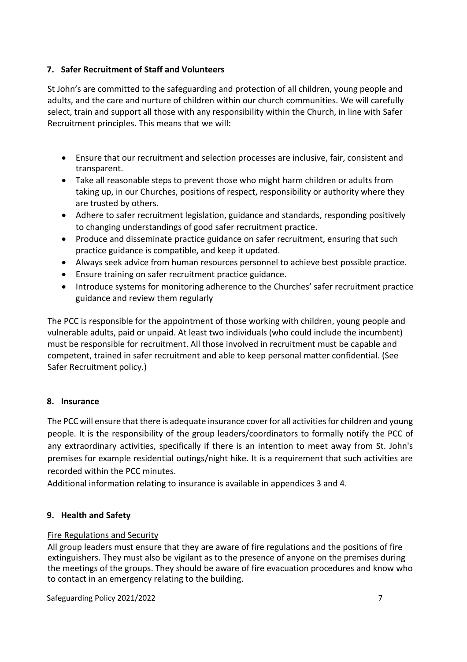## **7. Safer Recruitment of Staff and Volunteers**

St John's are committed to the safeguarding and protection of all children, young people and adults, and the care and nurture of children within our church communities. We will carefully select, train and support all those with any responsibility within the Church, in line with Safer Recruitment principles. This means that we will:

- Ensure that our recruitment and selection processes are inclusive, fair, consistent and transparent.
- Take all reasonable steps to prevent those who might harm children or adults from taking up, in our Churches, positions of respect, responsibility or authority where they are trusted by others.
- Adhere to safer recruitment legislation, guidance and standards, responding positively to changing understandings of good safer recruitment practice.
- Produce and disseminate practice guidance on safer recruitment, ensuring that such practice guidance is compatible, and keep it updated.
- Always seek advice from human resources personnel to achieve best possible practice.
- Ensure training on safer recruitment practice guidance.
- Introduce systems for monitoring adherence to the Churches' safer recruitment practice guidance and review them regularly

The PCC is responsible for the appointment of those working with children, young people and vulnerable adults, paid or unpaid. At least two individuals (who could include the incumbent) must be responsible for recruitment. All those involved in recruitment must be capable and competent, trained in safer recruitment and able to keep personal matter confidential. (See Safer Recruitment policy.)

## **8. Insurance**

The PCC will ensure that there is adequate insurance cover for all activities for children and young people. It is the responsibility of the group leaders/coordinators to formally notify the PCC of any extraordinary activities, specifically if there is an intention to meet away from St. John's premises for example residential outings/night hike. It is a requirement that such activities are recorded within the PCC minutes.

Additional information relating to insurance is available in appendices 3 and 4.

## **9. Health and Safety**

## Fire Regulations and Security

All group leaders must ensure that they are aware of fire regulations and the positions of fire extinguishers. They must also be vigilant as to the presence of anyone on the premises during the meetings of the groups. They should be aware of fire evacuation procedures and know who to contact in an emergency relating to the building.

Safeguarding Policy 2021/2022 **7**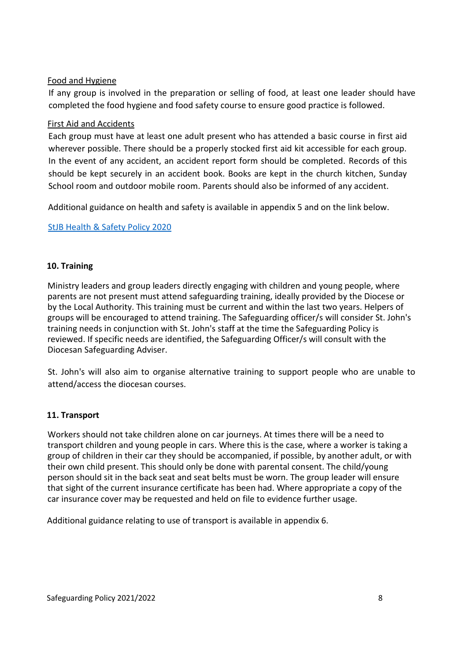## Food and Hygiene

If any group is involved in the preparation or selling of food, at least one leader should have completed the food hygiene and food safety course to ensure good practice is followed.

#### First Aid and Accidents

Each group must have at least one adult present who has attended a basic course in first aid wherever possible. There should be a properly stocked first aid kit accessible for each group. In the event of any accident, an accident report form should be completed. Records of this should be kept securely in an accident book. Books are kept in the church kitchen, Sunday School room and outdoor mobile room. Parents should also be informed of any accident.

Additional guidance on health and safety is available in appendix 5 and on the link below.

#### [StJB Health & Safety Policy 2020](../2020/StJB%20Health%20&%20Safety%20Policy%202020.pdf)

#### **10. Training**

Ministry leaders and group leaders directly engaging with children and young people, where parents are not present must attend safeguarding training, ideally provided by the Diocese or by the Local Authority. This training must be current and within the last two years. Helpers of groups will be encouraged to attend training. The Safeguarding officer/s will consider St. John's training needs in conjunction with St. John's staff at the time the Safeguarding Policy is reviewed. If specific needs are identified, the Safeguarding Officer/s will consult with the Diocesan Safeguarding Adviser.

St. John's will also aim to organise alternative training to support people who are unable to attend/access the diocesan courses.

## **11. Transport**

Workers should not take children alone on car journeys. At times there will be a need to transport children and young people in cars. Where this is the case, where a worker is taking a group of children in their car they should be accompanied, if possible, by another adult, or with their own child present. This should only be done with parental consent. The child/young person should sit in the back seat and seat belts must be worn. The group leader will ensure that sight of the current insurance certificate has been had. Where appropriate a copy of the car insurance cover may be requested and held on file to evidence further usage.

Additional guidance relating to use of transport is available in appendix 6.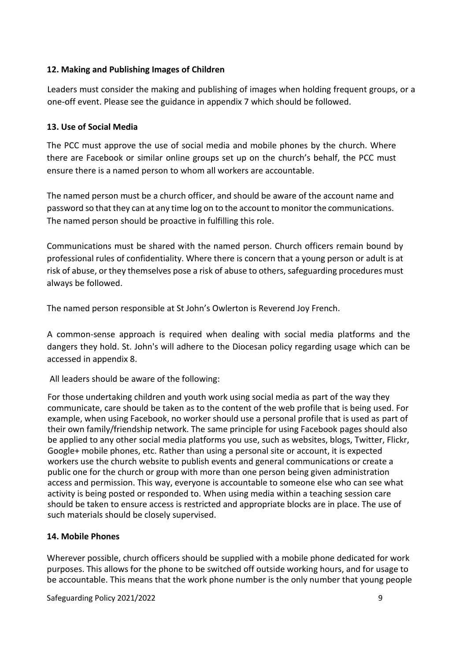## **12. Making and Publishing Images of Children**

Leaders must consider the making and publishing of images when holding frequent groups, or a one-off event. Please see the guidance in appendix 7 which should be followed.

#### **13. Use of Social Media**

The PCC must approve the use of social media and mobile phones by the church. Where there are Facebook or similar online groups set up on the church's behalf, the PCC must ensure there is a named person to whom all workers are accountable.

The named person must be a church officer, and should be aware of the account name and password so that they can at any time log on to the account to monitor the communications. The named person should be proactive in fulfilling this role.

Communications must be shared with the named person. Church officers remain bound by professional rules of confidentiality. Where there is concern that a young person or adult is at risk of abuse, or they themselves pose a risk of abuse to others, safeguarding procedures must always be followed.

The named person responsible at St John's Owlerton is Reverend Joy French.

A common-sense approach is required when dealing with social media platforms and the dangers they hold. St. John's will adhere to the Diocesan policy regarding usage which can be accessed in appendix 8.

All leaders should be aware of the following:

For those undertaking children and youth work using social media as part of the way they communicate, care should be taken as to the content of the web profile that is being used. For example, when using Facebook, no worker should use a personal profile that is used as part of their own family/friendship network. The same principle for using Facebook pages should also be applied to any other social media platforms you use, such as websites, blogs, Twitter, Flickr, Google+ mobile phones, etc. Rather than using a personal site or account, it is expected workers use the church website to publish events and general communications or create a public one for the church or group with more than one person being given administration access and permission. This way, everyone is accountable to someone else who can see what activity is being posted or responded to. When using media within a teaching session care should be taken to ensure access is restricted and appropriate blocks are in place. The use of such materials should be closely supervised.

#### **14. Mobile Phones**

Wherever possible, church officers should be supplied with a mobile phone dedicated for work purposes. This allows for the phone to be switched off outside working hours, and for usage to be accountable. This means that the work phone number is the only number that young people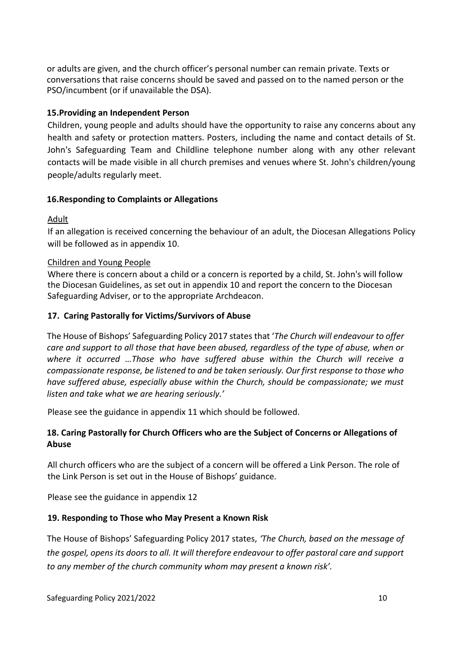or adults are given, and the church officer's personal number can remain private. Texts or conversations that raise concerns should be saved and passed on to the named person or the PSO/incumbent (or if unavailable the DSA).

#### **15.Providing an Independent Person**

Children, young people and adults should have the opportunity to raise any concerns about any health and safety or protection matters. Posters, including the name and contact details of St. John's Safeguarding Team and Childline telephone number along with any other relevant contacts will be made visible in all church premises and venues where St. John's children/young people/adults regularly meet.

#### **16.Responding to Complaints or Allegations**

#### **Adult**

If an allegation is received concerning the behaviour of an adult, the Diocesan Allegations Policy will be followed as in appendix 10.

#### Children and Young People

Where there is concern about a child or a concern is reported by a child, St. John's will follow the Diocesan Guidelines, as set out in appendix 10 and report the concern to the Diocesan Safeguarding Adviser, or to the appropriate Archdeacon.

#### **17. Caring Pastorally for Victims/Survivors of Abuse**

The House of Bishops' Safeguarding Policy 2017 states that '*The Church will endeavour to offer care and support to all those that have been abused, regardless of the type of abuse, when or where it occurred …Those who have suffered abuse within the Church will receive a compassionate response, be listened to and be taken seriously. Our first response to those who have suffered abuse, especially abuse within the Church, should be compassionate; we must listen and take what we are hearing seriously.'*

Please see the guidance in appendix 11 which should be followed.

## **18. Caring Pastorally for Church Officers who are the Subject of Concerns or Allegations of Abuse**

All church officers who are the subject of a concern will be offered a Link Person. The role of the Link Person is set out in the House of Bishops' guidance.

Please see the guidance in appendix 12

## **19. Responding to Those who May Present a Known Risk**

The House of Bishops' Safeguarding Policy 2017 states, *'The Church, based on the message of the gospel, opens its doors to all. It will therefore endeavour to offer pastoral care and support to any member of the church community whom may present a known risk'.*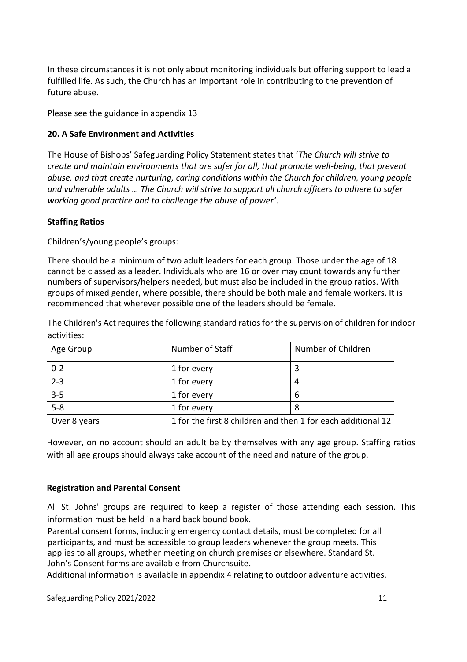In these circumstances it is not only about monitoring individuals but offering support to lead a fulfilled life. As such, the Church has an important role in contributing to the prevention of future abuse.

Please see the guidance in appendix 13

## **20. A Safe Environment and Activities**

The House of Bishops' Safeguarding Policy Statement states that '*The Church will strive to create and maintain environments that are safer for all, that promote well-being, that prevent abuse, and that create nurturing, caring conditions within the Church for children, young people and vulnerable adults … The Church will strive to support all church officers to adhere to safer working good practice and to challenge the abuse of power'*.

#### **Staffing Ratios**

Children's/young people's groups:

There should be a minimum of two adult leaders for each group. Those under the age of 18 cannot be classed as a leader. Individuals who are 16 or over may count towards any further numbers of supervisors/helpers needed, but must also be included in the group ratios. With groups of mixed gender, where possible, there should be both male and female workers. It is recommended that wherever possible one of the leaders should be female.

The Children's Act requires the following standard ratios for the supervision of children for indoor activities:

| Age Group    | Number of Staff                                              | Number of Children |
|--------------|--------------------------------------------------------------|--------------------|
| $0 - 2$      | 1 for every                                                  | 3                  |
| $2 - 3$      | 1 for every                                                  | 4                  |
| $3 - 5$      | 1 for every                                                  | 6                  |
| $5 - 8$      | 1 for every                                                  | 8                  |
| Over 8 years | 1 for the first 8 children and then 1 for each additional 12 |                    |

However, on no account should an adult be by themselves with any age group. Staffing ratios with all age groups should always take account of the need and nature of the group.

#### **Registration and Parental Consent**

All St. Johns' groups are required to keep a register of those attending each session. This information must be held in a hard back bound book.

Parental consent forms, including emergency contact details, must be completed for all participants, and must be accessible to group leaders whenever the group meets. This applies to all groups, whether meeting on church premises or elsewhere. Standard St. John's Consent forms are available from Churchsuite.

Additional information is available in appendix 4 relating to outdoor adventure activities.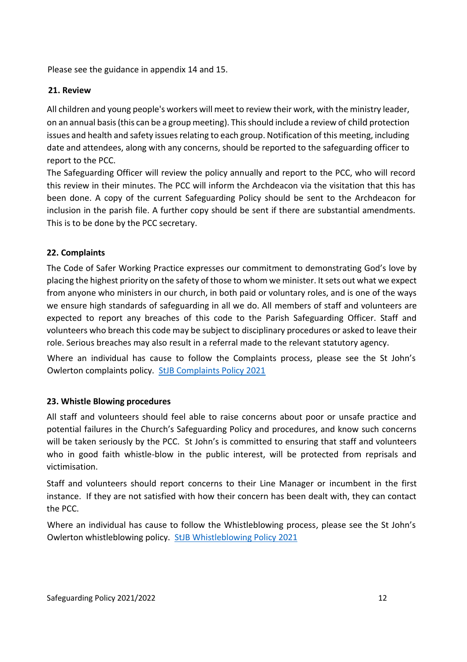Please see the guidance in appendix 14 and 15.

## **21. Review**

All children and young people's workers will meet to review their work, with the ministry leader, on an annual basis (this can be a group meeting). This should include a review of child protection issues and health and safety issues relating to each group. Notification of this meeting, including date and attendees, along with any concerns, should be reported to the safeguarding officer to report to the PCC.

The Safeguarding Officer will review the policy annually and report to the PCC, who will record this review in their minutes. The PCC will inform the Archdeacon via the visitation that this has been done. A copy of the current Safeguarding Policy should be sent to the Archdeacon for inclusion in the parish file. A further copy should be sent if there are substantial amendments. This is to be done by the PCC secretary.

## **22. Complaints**

The Code of Safer Working Practice expresses our commitment to demonstrating God's love by placing the highest priority on the safety of those to whom we minister. It sets out what we expect from anyone who ministers in our church, in both paid or voluntary roles, and is one of the ways we ensure high standards of safeguarding in all we do. All members of staff and volunteers are expected to report any breaches of this code to the Parish Safeguarding Officer. Staff and volunteers who breach this code may be subject to disciplinary procedures or asked to leave their role. Serious breaches may also result in a referral made to the relevant statutory agency.

Where an individual has cause to follow the Complaints process, please see the St John's Owlerton complaints policy. [StJB Complaints Policy 2021](STJB%20Complaints%20Policy%202021.pdf)

#### **23. Whistle Blowing procedures**

All staff and volunteers should feel able to raise concerns about poor or unsafe practice and potential failures in the Church's Safeguarding Policy and procedures, and know such concerns will be taken seriously by the PCC. St John's is committed to ensuring that staff and volunteers who in good faith whistle-blow in the public interest, will be protected from reprisals and victimisation.

Staff and volunteers should report concerns to their Line Manager or incumbent in the first instance. If they are not satisfied with how their concern has been dealt with, they can contact the PCC.

Where an individual has cause to follow the Whistleblowing process, please see the St John's Owlerton whistleblowing policy. [StJB Whistleblowing Policy 2021](STJB%20Whistleblowing%20Policy%202021.pdf)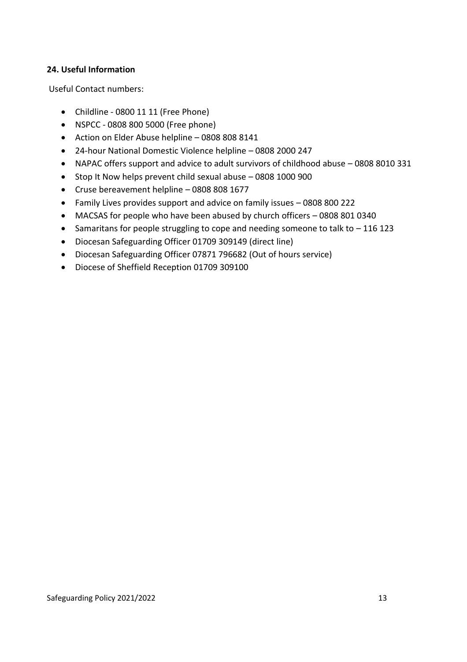## **24. Useful Information**

Useful Contact numbers:

- Childline 0800 11 11 (Free Phone)
- NSPCC 0808 800 5000 (Free phone)
- Action on Elder Abuse helpline 0808 808 8141
- 24-hour National Domestic Violence helpline 0808 2000 247
- NAPAC offers support and advice to adult survivors of childhood abuse 0808 8010 331
- Stop It Now helps prevent child sexual abuse 0808 1000 900
- Cruse bereavement helpline 0808 808 1677
- Family Lives provides support and advice on family issues 0808 800 222
- MACSAS for people who have been abused by church officers 0808 801 0340
- Samaritans for people struggling to cope and needing someone to talk to 116 123
- Diocesan Safeguarding Officer 01709 309149 (direct line)
- Diocesan Safeguarding Officer 07871 796682 (Out of hours service)
- Diocese of Sheffield Reception 01709 309100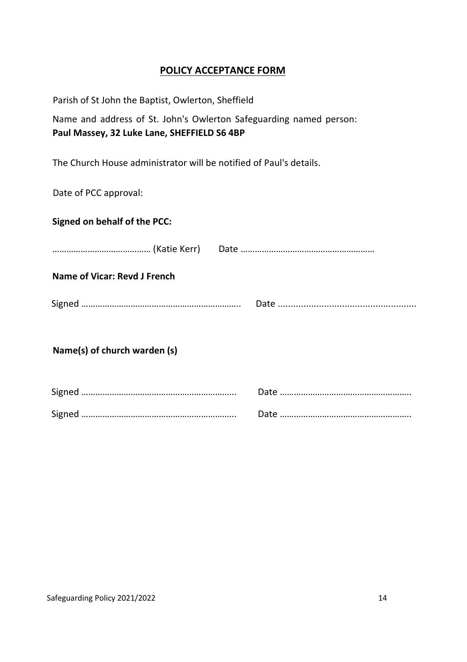## **POLICY ACCEPTANCE FORM**

Parish of St John the Baptist, Owlerton, Sheffield

Name and address of St. John's Owlerton Safeguarding named person: **Paul Massey, 32 Luke Lane, SHEFFIELD S6 4BP**

The Church House administrator will be notified of Paul's details.

Date of PCC approval:

| Signed on behalf of the PCC:        |  |
|-------------------------------------|--|
|                                     |  |
| <b>Name of Vicar: Revd J French</b> |  |
|                                     |  |
| Name(s) of church warden (s)        |  |
|                                     |  |
|                                     |  |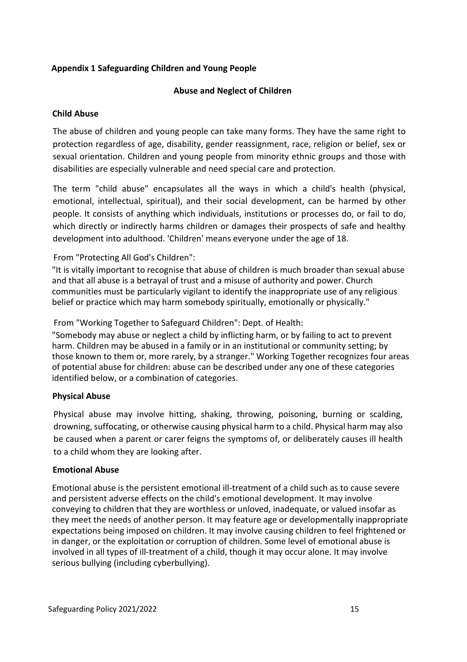## **Appendix 1 Safeguarding Children and Young People**

## **Abuse and Neglect of Children**

#### **Child Abuse**

The abuse of children and young people can take many forms. They have the same right to protection regardless of age, disability, gender reassignment, race, religion or belief, sex or sexual orientation. Children and young people from minority ethnic groups and those with disabilities are especially vulnerable and need special care and protection.

The term "child abuse" encapsulates all the ways in which a child's health (physical, emotional, intellectual, spiritual), and their social development, can be harmed by other people. It consists of anything which individuals, institutions or processes do, or fail to do, which directly or indirectly harms children or damages their prospects of safe and healthy development into adulthood. 'Children' means everyone under the age of 18.

## From "Protecting All God's Children":

"It is vitally important to recognise that abuse of children is much broader than sexual abuse and that all abuse is a betrayal of trust and a misuse of authority and power. Church communities must be particularly vigilant to identify the inappropriate use of any religious belief or practice which may harm somebody spiritually, emotionally or physically."

From "Working Together to Safeguard Children": Dept. of Health:

"Somebody may abuse or neglect a child by inflicting harm, or by failing to act to prevent harm. Children may be abused in a family or in an institutional or community setting; by those known to them or, more rarely, by a stranger." Working Together recognizes four areas of potential abuse for children: abuse can be described under any one of these categories identified below, or a combination of categories.

## **Physical Abuse**

Physical abuse may involve hitting, shaking, throwing, poisoning, burning or scalding, drowning, suffocating, or otherwise causing physical harm to a child. Physical harm may also be caused when a parent or carer feigns the symptoms of, or deliberately causes ill health to a child whom they are looking after.

#### **Emotional Abuse**

Emotional abuse is the persistent emotional ill-treatment of a child such as to cause severe and persistent adverse effects on the child's emotional development. It may involve conveying to children that they are worthless or unloved, inadequate, or valued insofar as they meet the needs of another person. It may feature age or developmentally inappropriate expectations being imposed on children. It may involve causing children to feel frightened or in danger, or the exploitation or corruption of children. Some level of emotional abuse is involved in all types of ill-treatment of a child, though it may occur alone. It may involve serious bullying (including cyberbullying).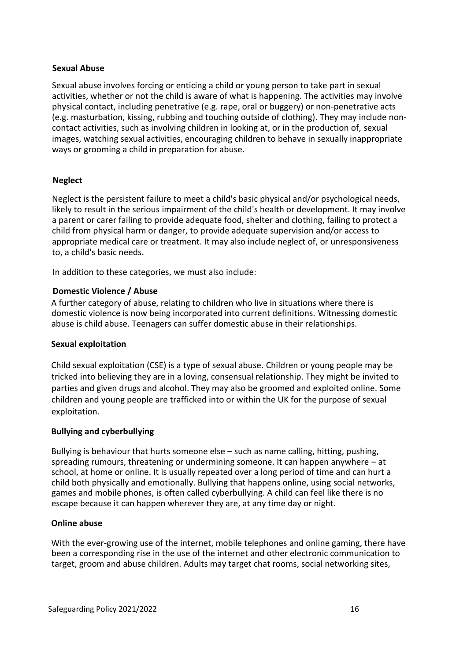#### **Sexual Abuse**

Sexual abuse involves forcing or enticing a child or young person to take part in sexual activities, whether or not the child is aware of what is happening. The activities may involve physical contact, including penetrative (e.g. rape, oral or buggery) or non-penetrative acts (e.g. masturbation, kissing, rubbing and touching outside of clothing). They may include noncontact activities, such as involving children in looking at, or in the production of, sexual images, watching sexual activities, encouraging children to behave in sexually inappropriate ways or grooming a child in preparation for abuse.

#### **Neglect**

Neglect is the persistent failure to meet a child's basic physical and/or psychological needs, likely to result in the serious impairment of the child's health or development. It may involve a parent or carer failing to provide adequate food, shelter and clothing, failing to protect a child from physical harm or danger, to provide adequate supervision and/or access to appropriate medical care or treatment. It may also include neglect of, or unresponsiveness to, a child's basic needs.

In addition to these categories, we must also include:

#### **Domestic Violence / Abuse**

A further category of abuse, relating to children who live in situations where there is domestic violence is now being incorporated into current definitions. Witnessing domestic abuse is child abuse. Teenagers can suffer domestic abuse in their relationships.

#### **Sexual exploitation**

Child sexual exploitation (CSE) is a type of sexual abuse. Children or young people may be tricked into believing they are in a loving, consensual relationship. They might be invited to parties and given drugs and alcohol. They may also be groomed and exploited online. Some children and young people are trafficked into or within the UK for the purpose of sexual exploitation.

#### **Bullying and cyberbullying**

Bullying is behaviour that hurts someone else – such as name calling, hitting, pushing, spreading rumours, threatening or undermining someone. It can happen anywhere – at school, at home or online. It is usually repeated over a long period of time and can hurt a child both physically and emotionally. Bullying that happens online, using social networks, games and mobile phones, is often called cyberbullying. A child can feel like there is no escape because it can happen wherever they are, at any time day or night.

#### **Online abuse**

With the ever-growing use of the internet, mobile telephones and online gaming, there have been a corresponding rise in the use of the internet and other electronic communication to target, groom and abuse children. Adults may target chat rooms, social networking sites,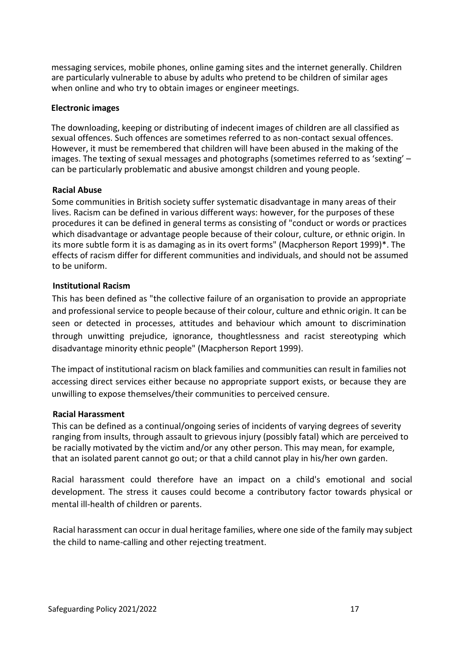messaging services, mobile phones, online gaming sites and the internet generally. Children are particularly vulnerable to abuse by adults who pretend to be children of similar ages when online and who try to obtain images or engineer meetings.

#### **Electronic images**

The downloading, keeping or distributing of indecent images of children are all classified as sexual offences. Such offences are sometimes referred to as non-contact sexual offences. However, it must be remembered that children will have been abused in the making of the images. The texting of sexual messages and photographs (sometimes referred to as 'sexting' – can be particularly problematic and abusive amongst children and young people.

#### **Racial Abuse**

Some communities in British society suffer systematic disadvantage in many areas of their lives. Racism can be defined in various different ways: however, for the purposes of these procedures it can be defined in general terms as consisting of "conduct or words or practices which disadvantage or advantage people because of their colour, culture, or ethnic origin. In its more subtle form it is as damaging as in its overt forms" (Macpherson Report 1999)\*. The effects of racism differ for different communities and individuals, and should not be assumed to be uniform.

#### **Institutional Racism**

This has been defined as "the collective failure of an organisation to provide an appropriate and professional service to people because of their colour, culture and ethnic origin. It can be seen or detected in processes, attitudes and behaviour which amount to discrimination through unwitting prejudice, ignorance, thoughtlessness and racist stereotyping which disadvantage minority ethnic people" (Macpherson Report 1999).

The impact of institutional racism on black families and communities can result in families not accessing direct services either because no appropriate support exists, or because they are unwilling to expose themselves/their communities to perceived censure.

#### **Racial Harassment**

This can be defined as a continual/ongoing series of incidents of varying degrees of severity ranging from insults, through assault to grievous injury (possibly fatal) which are perceived to be racially motivated by the victim and/or any other person. This may mean, for example, that an isolated parent cannot go out; or that a child cannot play in his/her own garden.

Racial harassment could therefore have an impact on a child's emotional and social development. The stress it causes could become a contributory factor towards physical or mental ill-health of children or parents.

Racial harassment can occur in dual heritage families, where one side of the family may subject the child to name-calling and other rejecting treatment.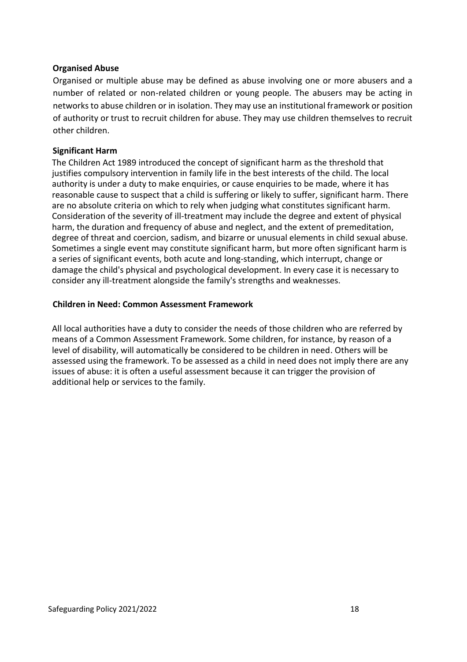#### **Organised Abuse**

Organised or multiple abuse may be defined as abuse involving one or more abusers and a number of related or non-related children or young people. The abusers may be acting in networks to abuse children or in isolation. They may use an institutional framework or position of authority or trust to recruit children for abuse. They may use children themselves to recruit other children.

#### **Significant Harm**

The Children Act 1989 introduced the concept of significant harm as the threshold that justifies compulsory intervention in family life in the best interests of the child. The local authority is under a duty to make enquiries, or cause enquiries to be made, where it has reasonable cause to suspect that a child is suffering or likely to suffer, significant harm. There are no absolute criteria on which to rely when judging what constitutes significant harm. Consideration of the severity of ill-treatment may include the degree and extent of physical harm, the duration and frequency of abuse and neglect, and the extent of premeditation, degree of threat and coercion, sadism, and bizarre or unusual elements in child sexual abuse. Sometimes a single event may constitute significant harm, but more often significant harm is a series of significant events, both acute and long-standing, which interrupt, change or damage the child's physical and psychological development. In every case it is necessary to consider any ill-treatment alongside the family's strengths and weaknesses.

#### **Children in Need: Common Assessment Framework**

All local authorities have a duty to consider the needs of those children who are referred by means of a Common Assessment Framework. Some children, for instance, by reason of a level of disability, will automatically be considered to be children in need. Others will be assessed using the framework. To be assessed as a child in need does not imply there are any issues of abuse: it is often a useful assessment because it can trigger the provision of additional help or services to the family.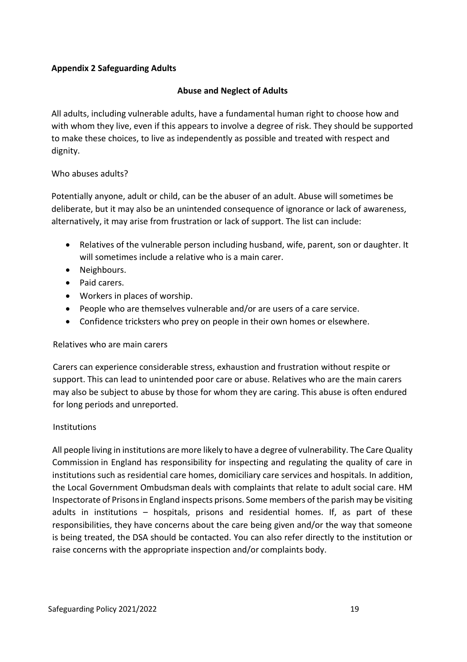## **Appendix 2 Safeguarding Adults**

## **Abuse and Neglect of Adults**

All adults, including vulnerable adults, have a fundamental human right to choose how and with whom they live, even if this appears to involve a degree of risk. They should be supported to make these choices, to live as independently as possible and treated with respect and dignity.

## Who abuses adults?

Potentially anyone, adult or child, can be the abuser of an adult. Abuse will sometimes be deliberate, but it may also be an unintended consequence of ignorance or lack of awareness, alternatively, it may arise from frustration or lack of support. The list can include:

- Relatives of the vulnerable person including husband, wife, parent, son or daughter. It will sometimes include a relative who is a main carer.
- Neighbours.
- Paid carers.
- Workers in places of worship.
- People who are themselves vulnerable and/or are users of a care service.
- Confidence tricksters who prey on people in their own homes or elsewhere.

#### Relatives who are main carers

Carers can experience considerable stress, exhaustion and frustration without respite or support. This can lead to unintended poor care or abuse. Relatives who are the main carers may also be subject to abuse by those for whom they are caring. This abuse is often endured for long periods and unreported.

#### Institutions

All people living in institutions are more likely to have a degree of vulnerability. The Care Quality Commission in England has responsibility for inspecting and regulating the quality of care in institutions such as residential care homes, domiciliary care services and hospitals. In addition, the Local Government Ombudsman deals with complaints that relate to adult social care. HM Inspectorate of Prisonsin England inspects prisons. Some members of the parish may be visiting adults in institutions – hospitals, prisons and residential homes. If, as part of these responsibilities, they have concerns about the care being given and/or the way that someone is being treated, the DSA should be contacted. You can also refer directly to the institution or raise concerns with the appropriate inspection and/or complaints body.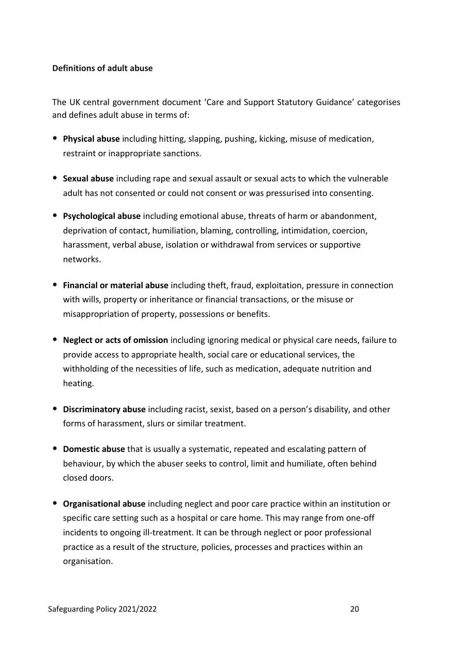## **Definitions of adult abuse**

The UK central government document 'Care and Support Statutory Guidance' categorises and defines adult abuse in terms of:

- **Physical abuse** including hitting, slapping, pushing, kicking, misuse of medication, restraint or inappropriate sanctions.
- **Sexual abuse** including rape and sexual assault or sexual acts to which the vulnerable adult has not consented or could not consent or was pressurised into consenting.
- **Psychological abuse** including emotional abuse, threats of harm or abandonment, deprivation of contact, humiliation, blaming, controlling, intimidation, coercion, harassment, verbal abuse, isolation or withdrawal from services or supportive networks.
- **Financial or material abuse** including theft, fraud, exploitation, pressure in connection with wills, property or inheritance or financial transactions, or the misuse or misappropriation of property, possessions or benefits.
- **Neglect or acts of omission** including ignoring medical or physical care needs, failure to provide access to appropriate health, social care or educational services, the withholding of the necessities of life, such as medication, adequate nutrition and heating.
- **Discriminatory abuse** including racist, sexist, based on a person's disability, and other forms of harassment, slurs or similar treatment.
- **Domestic abuse** that is usually a systematic, repeated and escalating pattern of behaviour, by which the abuser seeks to control, limit and humiliate, often behind closed doors.
- **Organisational abuse** including neglect and poor care practice within an institution or specific care setting such as a hospital or care home. This may range from one-off incidents to ongoing ill-treatment. It can be through neglect or poor professional practice as a result of the structure, policies, processes and practices within an organisation.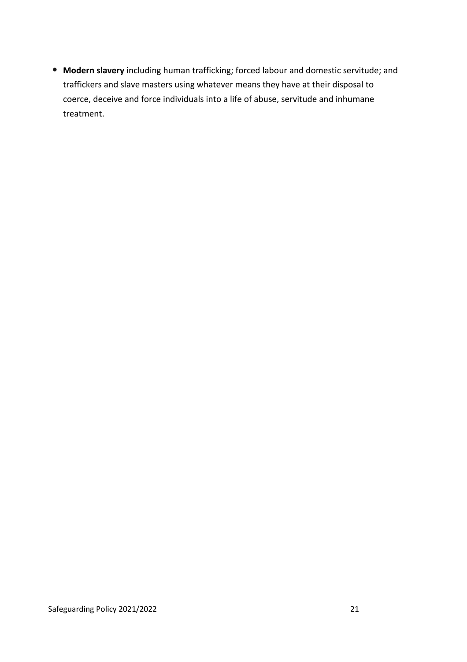• **Modern slavery** including human trafficking; forced labour and domestic servitude; and traffickers and slave masters using whatever means they have at their disposal to coerce, deceive and force individuals into a life of abuse, servitude and inhumane treatment.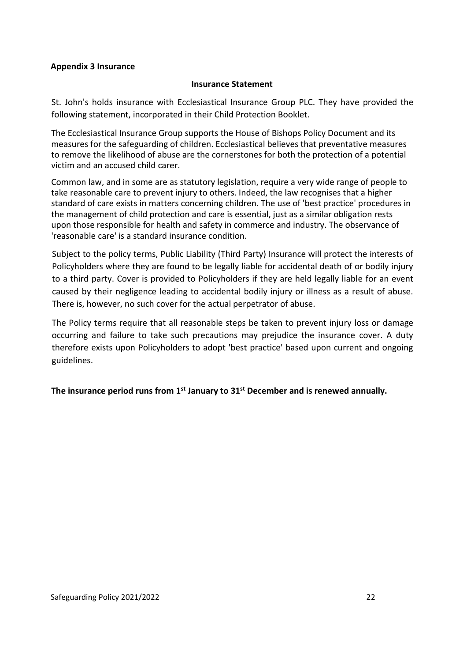#### **Appendix 3 Insurance**

#### **Insurance Statement**

St. John's holds insurance with Ecclesiastical Insurance Group PLC. They have provided the following statement, incorporated in their Child Protection Booklet.

The Ecclesiastical Insurance Group supports the House of Bishops Policy Document and its measures for the safeguarding of children. Ecclesiastical believes that preventative measures to remove the likelihood of abuse are the cornerstones for both the protection of a potential victim and an accused child carer.

Common law, and in some are as statutory legislation, require a very wide range of people to take reasonable care to prevent injury to others. Indeed, the law recognises that a higher standard of care exists in matters concerning children. The use of 'best practice' procedures in the management of child protection and care is essential, just as a similar obligation rests upon those responsible for health and safety in commerce and industry. The observance of 'reasonable care' is a standard insurance condition.

Subject to the policy terms, Public Liability (Third Party) Insurance will protect the interests of Policyholders where they are found to be legally liable for accidental death of or bodily injury to a third party. Cover is provided to Policyholders if they are held legally liable for an event caused by their negligence leading to accidental bodily injury or illness as a result of abuse. There is, however, no such cover for the actual perpetrator of abuse.

The Policy terms require that all reasonable steps be taken to prevent injury loss or damage occurring and failure to take such precautions may prejudice the insurance cover. A duty therefore exists upon Policyholders to adopt 'best practice' based upon current and ongoing guidelines.

**The insurance period runs from 1st January to 31st December and is renewed annually.**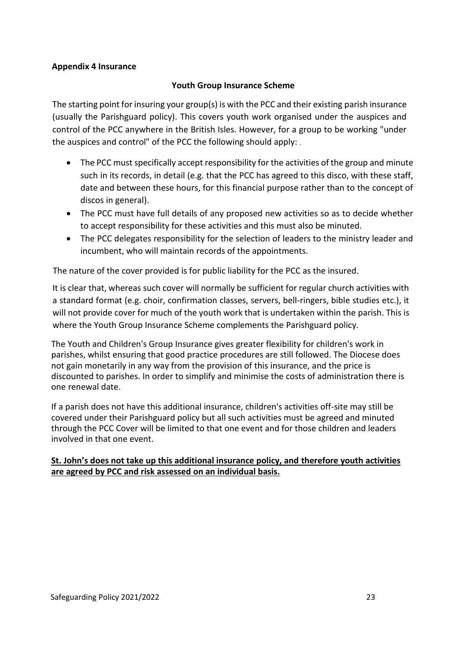#### **Appendix 4 Insurance**

## **Youth Group Insurance Scheme**

The starting point for insuring your group(s) is with the PCC and their existing parish insurance (usually the Parishguard policy). This covers youth work organised under the auspices and control of the PCC anywhere in the British Isles. However, for a group to be working "under the auspices and control" of the PCC the following should apply:

- The PCC must specifically accept responsibility for the activities of the group and minute such in its records, in detail (e.g. that the PCC has agreed to this disco, with these staff, date and between these hours, for this financial purpose rather than to the concept of discos in general).
- The PCC must have full details of any proposed new activities so as to decide whether to accept responsibility for these activities and this must also be minuted.
- The PCC delegates responsibility for the selection of leaders to the ministry leader and incumbent, who will maintain records of the appointments.

The nature of the cover provided is for public liability for the PCC as the insured.

It is clear that, whereas such cover will normally be sufficient for regular church activities with a standard format (e.g. choir, confirmation classes, servers, bell-ringers, bible studies etc.), it will not provide cover for much of the youth work that is undertaken within the parish. This is where the Youth Group Insurance Scheme complements the Parishguard policy.

The Youth and Children's Group Insurance gives greater flexibility for children's work in parishes, whilst ensuring that good practice procedures are still followed. The Diocese does not gain monetarily in any way from the provision of this insurance, and the price is discounted to parishes. In order to simplify and minimise the costs of administration there is one renewal date.

If a parish does not have this additional insurance, children's activities off-site may still be covered under their Parishguard policy but all such activities must be agreed and minuted through the PCC Cover will be limited to that one event and for those children and leaders involved in that one event.

#### **St. John's does not take up this additional insurance policy, and therefore youth activities are agreed by PCC and risk assessed on an individual basis.**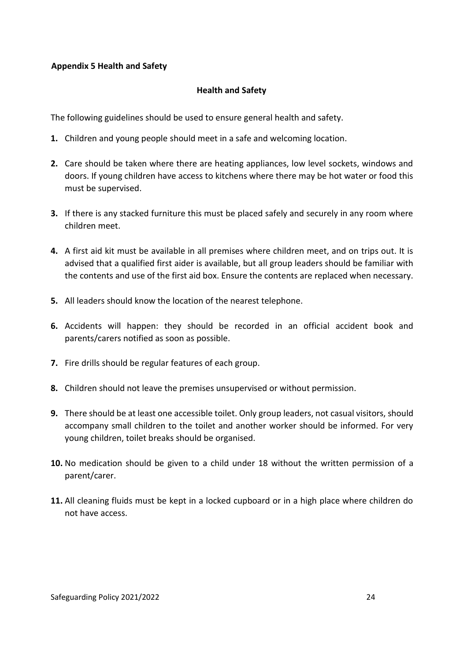## **Appendix 5 Health and Safety**

#### **Health and Safety**

The following guidelines should be used to ensure general health and safety.

- **1.** Children and young people should meet in a safe and welcoming location.
- **2.** Care should be taken where there are heating appliances, low level sockets, windows and doors. If young children have access to kitchens where there may be hot water or food this must be supervised.
- **3.** If there is any stacked furniture this must be placed safely and securely in any room where children meet.
- **4.** A first aid kit must be available in all premises where children meet, and on trips out. It is advised that a qualified first aider is available, but all group leaders should be familiar with the contents and use of the first aid box. Ensure the contents are replaced when necessary.
- **5.** All leaders should know the location of the nearest telephone.
- **6.** Accidents will happen: they should be recorded in an official accident book and parents/carers notified as soon as possible.
- **7.** Fire drills should be regular features of each group.
- **8.** Children should not leave the premises unsupervised or without permission.
- **9.** There should be at least one accessible toilet. Only group leaders, not casual visitors, should accompany small children to the toilet and another worker should be informed. For very young children, toilet breaks should be organised.
- **10.** No medication should be given to a child under 18 without the written permission of a parent/carer.
- **11.** All cleaning fluids must be kept in a locked cupboard or in a high place where children do not have access.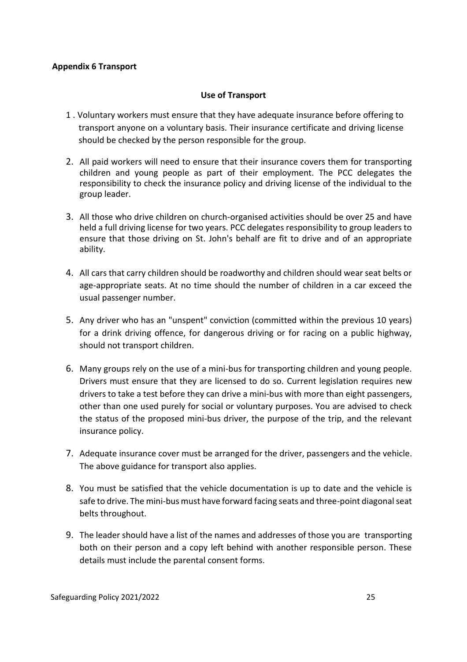#### **Appendix 6 Transport**

#### **Use of Transport**

- 1 . Voluntary workers must ensure that they have adequate insurance before offering to transport anyone on a voluntary basis. Their insurance certificate and driving license should be checked by the person responsible for the group.
- 2. All paid workers will need to ensure that their insurance covers them for transporting children and young people as part of their employment. The PCC delegates the responsibility to check the insurance policy and driving license of the individual to the group leader.
- 3. All those who drive children on church-organised activities should be over 25 and have held a full driving license for two years. PCC delegates responsibility to group leaders to ensure that those driving on St. John's behalf are fit to drive and of an appropriate ability.
- 4. All cars that carry children should be roadworthy and children should wear seat belts or age-appropriate seats. At no time should the number of children in a car exceed the usual passenger number.
- 5. Any driver who has an "unspent" conviction (committed within the previous 10 years) for a drink driving offence, for dangerous driving or for racing on a public highway, should not transport children.
- 6. Many groups rely on the use of a mini-bus for transporting children and young people. Drivers must ensure that they are licensed to do so. Current legislation requires new drivers to take a test before they can drive a mini-bus with more than eight passengers, other than one used purely for social or voluntary purposes. You are advised to check the status of the proposed mini-bus driver, the purpose of the trip, and the relevant insurance policy.
- 7. Adequate insurance cover must be arranged for the driver, passengers and the vehicle. The above guidance for transport also applies.
- 8. You must be satisfied that the vehicle documentation is up to date and the vehicle is safe to drive. The mini-bus must have forward facing seats and three-point diagonal seat belts throughout.
- 9. The leader should have a list of the names and addresses of those you are transporting both on their person and a copy left behind with another responsible person. These details must include the parental consent forms.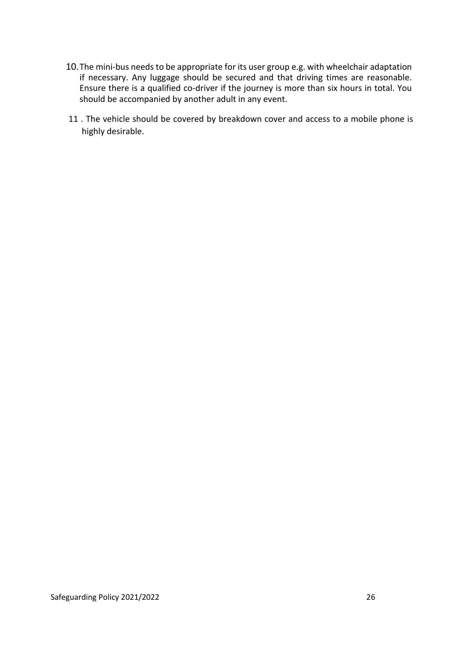- 10.The mini-bus needs to be appropriate for its user group e.g. with wheelchair adaptation if necessary. Any luggage should be secured and that driving times are reasonable. Ensure there is a qualified co-driver if the journey is more than six hours in total. You should be accompanied by another adult in any event.
- 11 . The vehicle should be covered by breakdown cover and access to a mobile phone is highly desirable.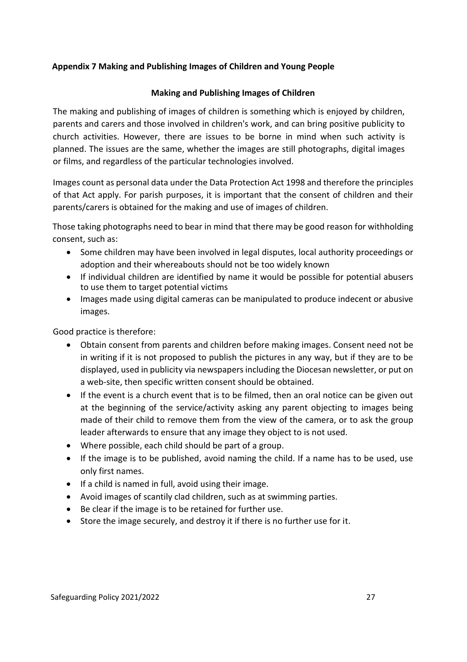## **Appendix 7 Making and Publishing Images of Children and Young People**

## **Making and Publishing Images of Children**

The making and publishing of images of children is something which is enjoyed by children, parents and carers and those involved in children's work, and can bring positive publicity to church activities. However, there are issues to be borne in mind when such activity is planned. The issues are the same, whether the images are still photographs, digital images or films, and regardless of the particular technologies involved.

Images count as personal data under the Data Protection Act 1998 and therefore the principles of that Act apply. For parish purposes, it is important that the consent of children and their parents/carers is obtained for the making and use of images of children.

Those taking photographs need to bear in mind that there may be good reason for withholding consent, such as:

- Some children may have been involved in legal disputes, local authority proceedings or adoption and their whereabouts should not be too widely known
- If individual children are identified by name it would be possible for potential abusers to use them to target potential victims
- Images made using digital cameras can be manipulated to produce indecent or abusive images.

Good practice is therefore:

- Obtain consent from parents and children before making images. Consent need not be in writing if it is not proposed to publish the pictures in any way, but if they are to be displayed, used in publicity via newspapers including the Diocesan newsletter, or put on a web-site, then specific written consent should be obtained.
- If the event is a church event that is to be filmed, then an oral notice can be given out at the beginning of the service/activity asking any parent objecting to images being made of their child to remove them from the view of the camera, or to ask the group leader afterwards to ensure that any image they object to is not used.
- Where possible, each child should be part of a group.
- If the image is to be published, avoid naming the child. If a name has to be used, use only first names.
- If a child is named in full, avoid using their image.
- Avoid images of scantily clad children, such as at swimming parties.
- Be clear if the image is to be retained for further use.
- Store the image securely, and destroy it if there is no further use for it.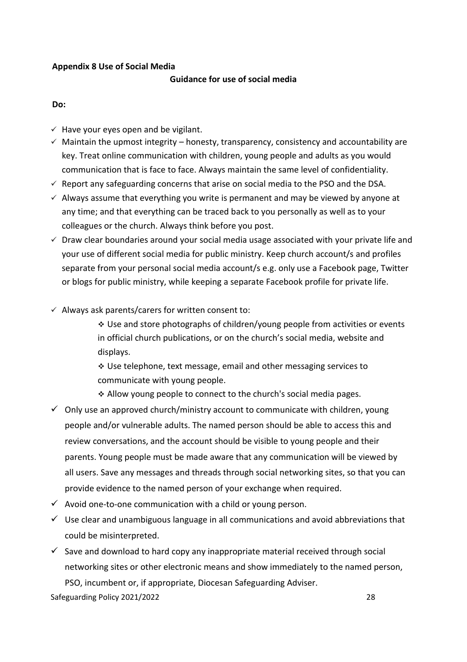#### **Appendix 8 Use of Social Media**

## **Guidance for use of social media**

**Do:**

- $\checkmark$  Have your eyes open and be vigilant.
- $\checkmark$  Maintain the upmost integrity honesty, transparency, consistency and accountability are key. Treat online communication with children, young people and adults as you would communication that is face to face. Always maintain the same level of confidentiality.
- $\checkmark$  Report any safeguarding concerns that arise on social media to the PSO and the DSA.
- $\checkmark$  Always assume that everything you write is permanent and may be viewed by anyone at any time; and that everything can be traced back to you personally as well as to your colleagues or the church. Always think before you post.
- $\checkmark$  Draw clear boundaries around your social media usage associated with your private life and your use of different social media for public ministry. Keep church account/s and profiles separate from your personal social media account/s e.g. only use a Facebook page, Twitter or blogs for public ministry, while keeping a separate Facebook profile for private life.
- $\checkmark$  Always ask parents/carers for written consent to:

❖ Use and store photographs of children/young people from activities or events in official church publications, or on the church's social media, website and displays.

❖ Use telephone, text message, email and other messaging services to communicate with young people.

- ❖ Allow young people to connect to the church's social media pages.
- $\checkmark$  Only use an approved church/ministry account to communicate with children, young people and/or vulnerable adults. The named person should be able to access this and review conversations, and the account should be visible to young people and their parents. Young people must be made aware that any communication will be viewed by all users. Save any messages and threads through social networking sites, so that you can provide evidence to the named person of your exchange when required.
- $\checkmark$  Avoid one-to-one communication with a child or young person.
- $\checkmark$  Use clear and unambiguous language in all communications and avoid abbreviations that could be misinterpreted.
- $\checkmark$  Save and download to hard copy any inappropriate material received through social networking sites or other electronic means and show immediately to the named person, PSO, incumbent or, if appropriate, Diocesan Safeguarding Adviser.

Safeguarding Policy 2021/2022 28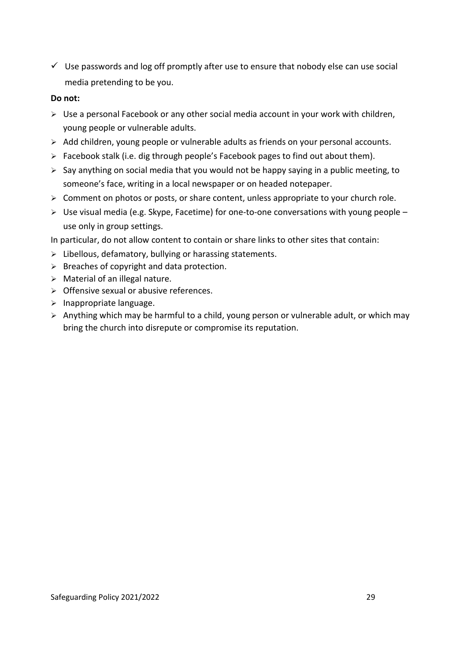$\checkmark$  Use passwords and log off promptly after use to ensure that nobody else can use social media pretending to be you.

#### **Do not:**

- ➢ Use a personal Facebook or any other social media account in your work with children, young people or vulnerable adults.
- ➢ Add children, young people or vulnerable adults as friends on your personal accounts.
- $\triangleright$  Facebook stalk (i.e. dig through people's Facebook pages to find out about them).
- $\triangleright$  Say anything on social media that you would not be happy saying in a public meeting, to someone's face, writing in a local newspaper or on headed notepaper.
- ➢ Comment on photos or posts, or share content, unless appropriate to your church role.
- ➢ Use visual media (e.g. Skype, Facetime) for one-to-one conversations with young people use only in group settings.

In particular, do not allow content to contain or share links to other sites that contain:

- ➢ Libellous, defamatory, bullying or harassing statements.
- $\triangleright$  Breaches of copyright and data protection.
- ➢ Material of an illegal nature.
- $\triangleright$  Offensive sexual or abusive references.
- ➢ Inappropriate language.
- ➢ Anything which may be harmful to a child, young person or vulnerable adult, or which may bring the church into disrepute or compromise its reputation.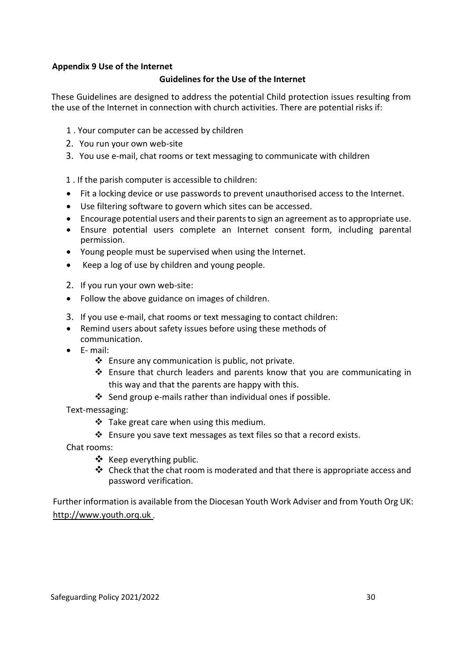#### **Appendix 9 Use of the Internet**

#### **Guidelines for the Use of the Internet**

These Guidelines are designed to address the potential Child protection issues resulting from the use of the Internet in connection with church activities. There are potential risks if:

- 1 . Your computer can be accessed by children
- 2. You run your own web-site
- 3. You use e-mail, chat rooms or text messaging to communicate with children
- 1 . If the parish computer is accessible to children:
- Fit a locking device or use passwords to prevent unauthorised access to the Internet.
- Use filtering software to govern which sites can be accessed.
- Encourage potential users and their parents to sign an agreement as to appropriate use.
- Ensure potential users complete an Internet consent form, including parental permission.
- Young people must be supervised when using the Internet.
- Keep a log of use by children and young people.
- 2. If you run your own web-site:
- Follow the above guidance on images of children.
- 3. If you use e-mail, chat rooms or text messaging to contact children:
- Remind users about safety issues before using these methods of communication.
- E- mail:
	- ❖ Ensure any communication is public, not private.
	- ❖ Ensure that church leaders and parents know that you are communicating in this way and that the parents are happy with this.
	- ❖ Send group e-mails rather than individual ones if possible.

Text-messaging:

- ❖ Take great care when using this medium.
- ❖ Ensure you save text messages as text files so that a record exists.
- Chat rooms:
	- ❖ Keep everything public.
	- ❖ Check that the chat room is moderated and that there is appropriate access and password verification.

Further information is available from the Diocesan Youth Work Adviser and from Youth Org UK: http://www.youth.orq.uk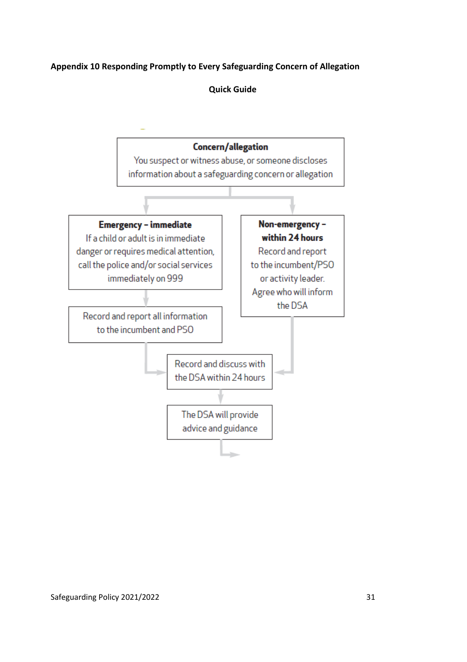## **Appendix 10 Responding Promptly to Every Safeguarding Concern of Allegation**

**Quick Guide**

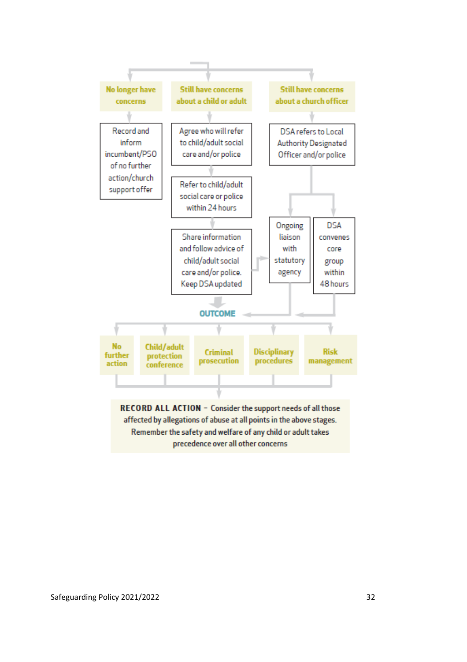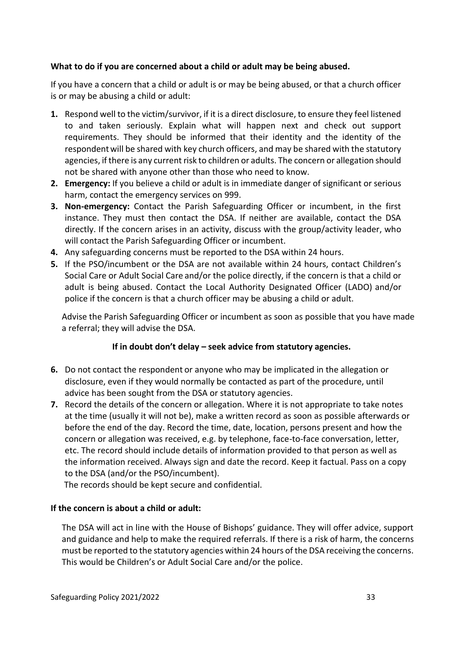## **What to do if you are concerned about a child or adult may be being abused.**

If you have a concern that a child or adult is or may be being abused, or that a church officer is or may be abusing a child or adult:

- **1.** Respond well to the victim/survivor, if it is a direct disclosure, to ensure they feel listened to and taken seriously. Explain what will happen next and check out support requirements. They should be informed that their identity and the identity of the respondentwill be shared with key church officers, and may be shared with the statutory agencies, if there is any current risk to children or adults. The concern or allegation should not be shared with anyone other than those who need to know.
- **2. Emergency:** If you believe a child or adult is in immediate danger of significant or serious harm, contact the emergency services on 999.
- **3. Non-emergency:** Contact the Parish Safeguarding Officer or incumbent, in the first instance. They must then contact the DSA. If neither are available, contact the DSA directly. If the concern arises in an activity, discuss with the group/activity leader, who will contact the Parish Safeguarding Officer or incumbent.
- **4.** Any safeguarding concerns must be reported to the DSA within 24 hours.
- **5.** If the PSO/incumbent or the DSA are not available within 24 hours, contact Children's Social Care or Adult Social Care and/or the police directly, if the concern is that a child or adult is being abused. Contact the Local Authority Designated Officer (LADO) and/or police if the concern is that a church officer may be abusing a child or adult.

Advise the Parish Safeguarding Officer or incumbent as soon as possible that you have made a referral; they will advise the DSA.

## **If in doubt don't delay – seek advice from statutory agencies.**

- **6.** Do not contact the respondent or anyone who may be implicated in the allegation or disclosure, even if they would normally be contacted as part of the procedure, until advice has been sought from the DSA or statutory agencies.
- **7.** Record the details of the concern or allegation. Where it is not appropriate to take notes at the time (usually it will not be), make a written record as soon as possible afterwards or before the end of the day. Record the time, date, location, persons present and how the concern or allegation was received, e.g. by telephone, face-to-face conversation, letter, etc. The record should include details of information provided to that person as well as the information received. Always sign and date the record. Keep it factual. Pass on a copy to the DSA (and/or the PSO/incumbent).

The records should be kept secure and confidential.

## **If the concern is about a child or adult:**

The DSA will act in line with the House of Bishops' guidance. They will offer advice, support and guidance and help to make the required referrals. If there is a risk of harm, the concerns must be reported to the statutory agencies within 24 hours of the DSA receiving the concerns. This would be Children's or Adult Social Care and/or the police.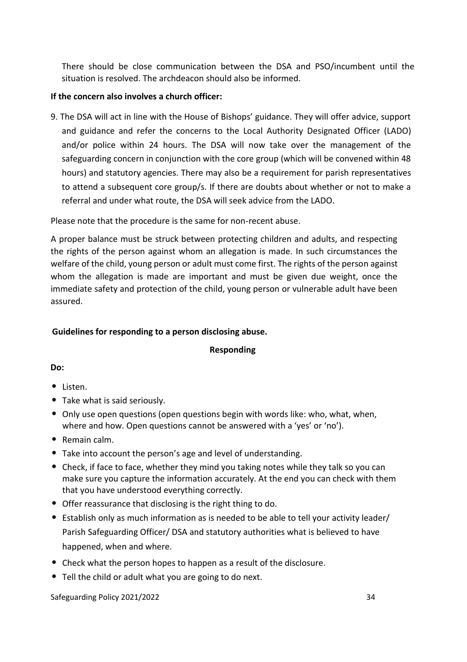There should be close communication between the DSA and PSO/incumbent until the situation is resolved. The archdeacon should also be informed.

## **If the concern also involves a church officer:**

9. The DSA will act in line with the House of Bishops' guidance. They will offer advice, support and guidance and refer the concerns to the Local Authority Designated Officer (LADO) and/or police within 24 hours. The DSA will now take over the management of the safeguarding concern in conjunction with the core group (which will be convened within 48 hours) and statutory agencies. There may also be a requirement for parish representatives to attend a subsequent core group/s. If there are doubts about whether or not to make a referral and under what route, the DSA will seek advice from the LADO.

Please note that the procedure is the same for non-recent abuse.

A proper balance must be struck between protecting children and adults, and respecting the rights of the person against whom an allegation is made. In such circumstances the welfare of the child, young person or adult must come first. The rights of the person against whom the allegation is made are important and must be given due weight, once the immediate safety and protection of the child, young person or vulnerable adult have been assured.

## **Guidelines for responding to a person disclosing abuse.**

## **Responding**

**Do:**

- Listen.
- Take what is said seriously.
- Only use open questions (open questions begin with words like: who, what, when, where and how. Open questions cannot be answered with a 'yes' or 'no').
- Remain calm.
- Take into account the person's age and level of understanding.
- Check, if face to face, whether they mind you taking notes while they talk so you can make sure you capture the information accurately. At the end you can check with them that you have understood everything correctly.
- Offer reassurance that disclosing is the right thing to do.
- Establish only as much information as is needed to be able to tell your activity leader/ Parish Safeguarding Officer/ DSA and statutory authorities what is believed to have happened, when and where.
- Check what the person hopes to happen as a result of the disclosure.
- Tell the child or adult what you are going to do next.

Safeguarding Policy 2021/2022 34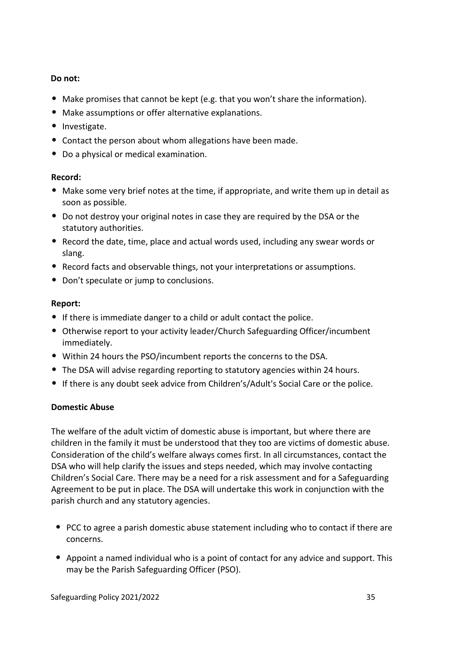## **Do not:**

- Make promises that cannot be kept (e.g. that you won't share the information).
- Make assumptions or offer alternative explanations.
- Investigate.
- Contact the person about whom allegations have been made.
- Do a physical or medical examination.

## **Record:**

- Make some very brief notes at the time, if appropriate, and write them up in detail as soon as possible.
- Do not destroy your original notes in case they are required by the DSA or the statutory authorities.
- Record the date, time, place and actual words used, including any swear words or slang.
- Record facts and observable things, not your interpretations or assumptions.
- Don't speculate or jump to conclusions.

## **Report:**

- If there is immediate danger to a child or adult contact the police.
- Otherwise report to your activity leader/Church Safeguarding Officer/incumbent immediately.
- Within 24 hours the PSO/incumbent reports the concerns to the DSA.
- The DSA will advise regarding reporting to statutory agencies within 24 hours.
- If there is any doubt seek advice from Children's/Adult's Social Care or the police.

## **Domestic Abuse**

The welfare of the adult victim of domestic abuse is important, but where there are children in the family it must be understood that they too are victims of domestic abuse. Consideration of the child's welfare always comes first. In all circumstances, contact the DSA who will help clarify the issues and steps needed, which may involve contacting Children's Social Care. There may be a need for a risk assessment and for a Safeguarding Agreement to be put in place. The DSA will undertake this work in conjunction with the parish church and any statutory agencies.

- PCC to agree a parish domestic abuse statement including who to contact if there are concerns.
- Appoint a named individual who is a point of contact for any advice and support. This may be the Parish Safeguarding Officer (PSO).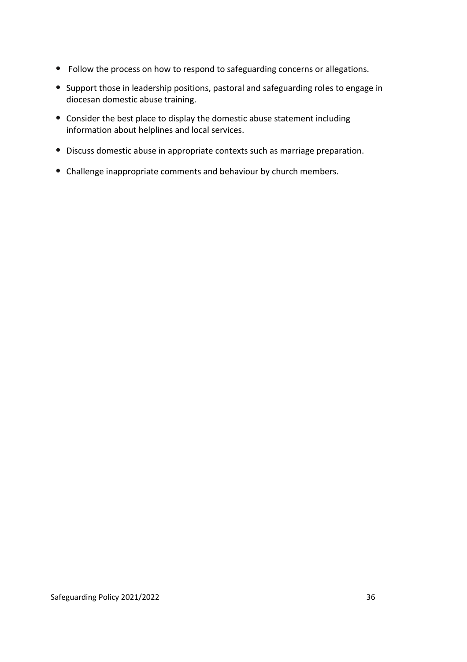- Follow the process on how to respond to safeguarding concerns or allegations.
- Support those in leadership positions, pastoral and safeguarding roles to engage in diocesan domestic abuse training.
- Consider the best place to display the domestic abuse statement including information about helplines and local services.
- Discuss domestic abuse in appropriate contexts such as marriage preparation.
- Challenge inappropriate comments and behaviour by church members.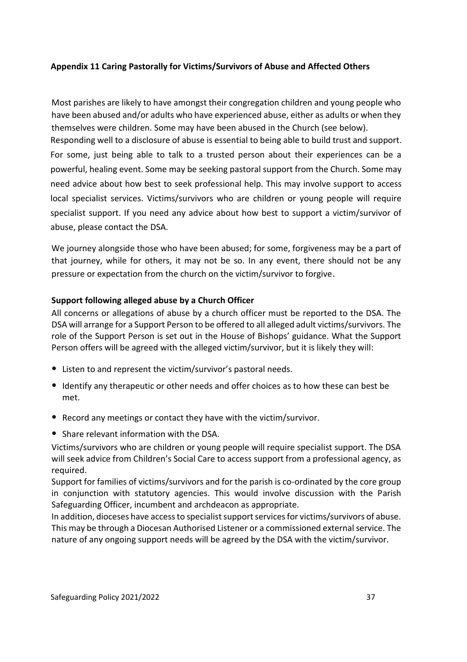## **Appendix 11 Caring Pastorally for Victims/Survivors of Abuse and Affected Others**

Most parishes are likely to have amongst their congregation children and young people who have been abused and/or adults who have experienced abuse, either as adults or when they themselves were children. Some may have been abused in the Church (see below).

Responding well to a disclosure of abuse is essential to being able to build trust and support. For some, just being able to talk to a trusted person about their experiences can be a powerful, healing event. Some may be seeking pastoral support from the Church. Some may need advice about how best to seek professional help. This may involve support to access local specialist services. Victims/survivors who are children or young people will require specialist support. If you need any advice about how best to support a victim/survivor of abuse, please contact the DSA.

We journey alongside those who have been abused; for some, forgiveness may be a part of that journey, while for others, it may not be so. In any event, there should not be any pressure or expectation from the church on the victim/survivor to forgive.

#### **Support following alleged abuse by a Church Officer**

All concerns or allegations of abuse by a church officer must be reported to the DSA. The DSA will arrange for a Support Person to be offered to all alleged adult victims/survivors. The role of the Support Person is set out in the House of Bishops' guidance. What the Support Person offers will be agreed with the alleged victim/survivor, but it is likely they will:

- Listen to and represent the victim/survivor's pastoral needs.
- Identify any therapeutic or other needs and offer choices as to how these can best be met.
- Record any meetings or contact they have with the victim/survivor.
- Share relevant information with the DSA.

Victims/survivors who are children or young people will require specialist support. The DSA will seek advice from Children's Social Care to access support from a professional agency, as required.

Support for families of victims/survivors and for the parish is co-ordinated by the core group in conjunction with statutory agencies. This would involve discussion with the Parish Safeguarding Officer, incumbent and archdeacon as appropriate.

In addition, dioceses have access to specialist support services for victims/survivors of abuse. This may be through a Diocesan Authorised Listener or a commissioned external service. The nature of any ongoing support needs will be agreed by the DSA with the victim/survivor.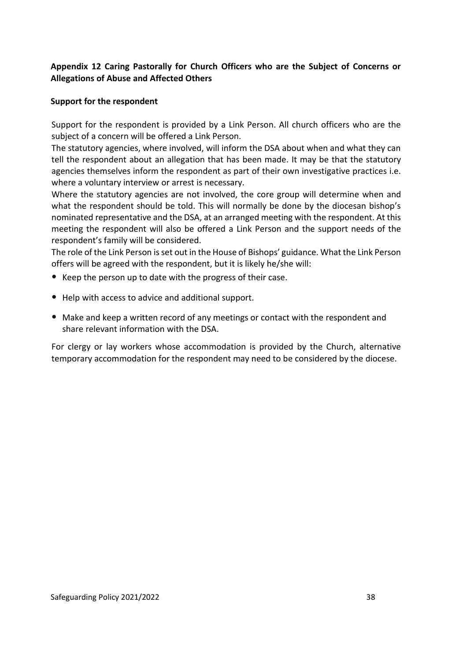## **Appendix 12 Caring Pastorally for Church Officers who are the Subject of Concerns or Allegations of Abuse and Affected Others**

## **Support for the respondent**

Support for the respondent is provided by a Link Person. All church officers who are the subject of a concern will be offered a Link Person.

The statutory agencies, where involved, will inform the DSA about when and what they can tell the respondent about an allegation that has been made. It may be that the statutory agencies themselves inform the respondent as part of their own investigative practices i.e. where a voluntary interview or arrest is necessary.

Where the statutory agencies are not involved, the core group will determine when and what the respondent should be told. This will normally be done by the diocesan bishop's nominated representative and the DSA, at an arranged meeting with the respondent. At this meeting the respondent will also be offered a Link Person and the support needs of the respondent's family will be considered.

The role of the Link Person is set out in the House of Bishops' guidance. What the Link Person offers will be agreed with the respondent, but it is likely he/she will:

- Keep the person up to date with the progress of their case.
- Help with access to advice and additional support.
- Make and keep a written record of any meetings or contact with the respondent and share relevant information with the DSA.

For clergy or lay workers whose accommodation is provided by the Church, alternative temporary accommodation for the respondent may need to be considered by the diocese.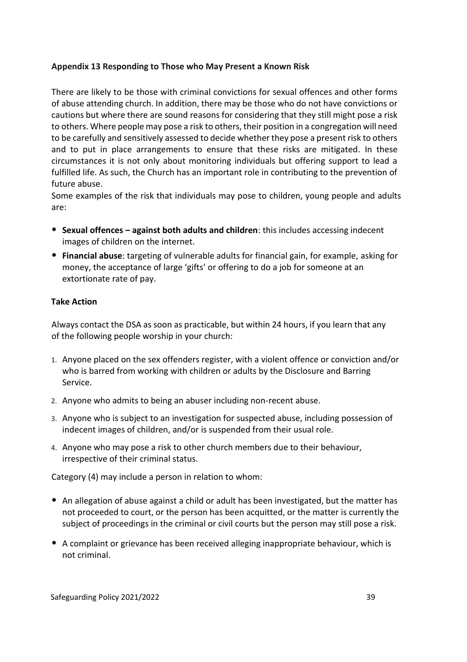#### **Appendix 13 Responding to Those who May Present a Known Risk**

There are likely to be those with criminal convictions for sexual offences and other forms of abuse attending church. In addition, there may be those who do not have convictions or cautions but where there are sound reasons for considering that they still might pose a risk to others. Where people may pose a risk to others, their position in a congregation will need to be carefully and sensitively assessed to decide whether they pose a present risk to others and to put in place arrangements to ensure that these risks are mitigated. In these circumstances it is not only about monitoring individuals but offering support to lead a fulfilled life. As such, the Church has an important role in contributing to the prevention of future abuse.

Some examples of the risk that individuals may pose to children, young people and adults are:

- **Sexual offences – against both adults and children**: this includes accessing indecent images of children on the internet.
- **Financial abuse**: targeting of vulnerable adults for financial gain, for example, asking for money, the acceptance of large 'gifts' or offering to do a job for someone at an extortionate rate of pay.

#### **Take Action**

Always contact the DSA as soon as practicable, but within 24 hours, if you learn that any of the following people worship in your church:

- 1. Anyone placed on the sex offenders register, with a violent offence or conviction and/or who is barred from working with children or adults by the Disclosure and Barring Service.
- 2. Anyone who admits to being an abuser including non-recent abuse.
- 3. Anyone who is subject to an investigation for suspected abuse, including possession of indecent images of children, and/or is suspended from their usual role.
- 4. Anyone who may pose a risk to other church members due to their behaviour, irrespective of their criminal status.

Category (4) may include a person in relation to whom:

- An allegation of abuse against a child or adult has been investigated, but the matter has not proceeded to court, or the person has been acquitted, or the matter is currently the subject of proceedings in the criminal or civil courts but the person may still pose a risk.
- A complaint or grievance has been received alleging inappropriate behaviour, which is not criminal.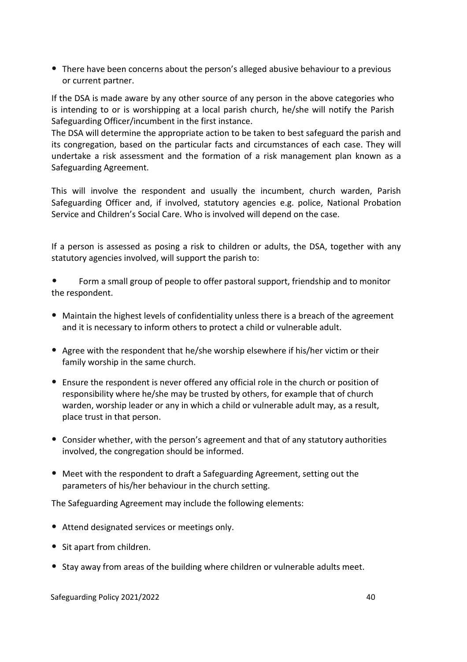• There have been concerns about the person's alleged abusive behaviour to a previous or current partner.

If the DSA is made aware by any other source of any person in the above categories who is intending to or is worshipping at a local parish church, he/she will notify the Parish Safeguarding Officer/incumbent in the first instance.

The DSA will determine the appropriate action to be taken to best safeguard the parish and its congregation, based on the particular facts and circumstances of each case. They will undertake a risk assessment and the formation of a risk management plan known as a Safeguarding Agreement.

This will involve the respondent and usually the incumbent, church warden, Parish Safeguarding Officer and, if involved, statutory agencies e.g. police, National Probation Service and Children's Social Care. Who is involved will depend on the case.

If a person is assessed as posing a risk to children or adults, the DSA, together with any statutory agencies involved, will support the parish to:

• Form a small group of people to offer pastoral support, friendship and to monitor the respondent.

- Maintain the highest levels of confidentiality unless there is a breach of the agreement and it is necessary to inform others to protect a child or vulnerable adult.
- Agree with the respondent that he/she worship elsewhere if his/her victim or their family worship in the same church.
- Ensure the respondent is never offered any official role in the church or position of responsibility where he/she may be trusted by others, for example that of church warden, worship leader or any in which a child or vulnerable adult may, as a result, place trust in that person.
- Consider whether, with the person's agreement and that of any statutory authorities involved, the congregation should be informed.
- Meet with the respondent to draft a Safeguarding Agreement, setting out the parameters of his/her behaviour in the church setting.

The Safeguarding Agreement may include the following elements:

- Attend designated services or meetings only.
- Sit apart from children.
- Stay away from areas of the building where children or vulnerable adults meet.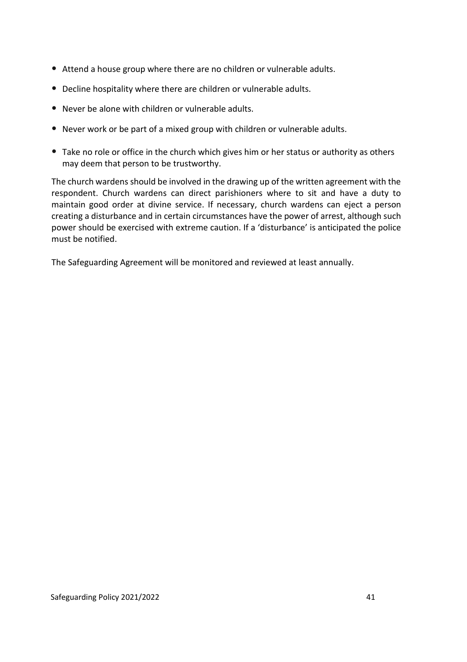- Attend a house group where there are no children or vulnerable adults.
- Decline hospitality where there are children or vulnerable adults.
- Never be alone with children or vulnerable adults.
- Never work or be part of a mixed group with children or vulnerable adults.
- Take no role or office in the church which gives him or her status or authority as others may deem that person to be trustworthy.

The church wardens should be involved in the drawing up of the written agreement with the respondent. Church wardens can direct parishioners where to sit and have a duty to maintain good order at divine service. If necessary, church wardens can eject a person creating a disturbance and in certain circumstances have the power of arrest, although such power should be exercised with extreme caution. If a 'disturbance' is anticipated the police must be notified.

The Safeguarding Agreement will be monitored and reviewed at least annually.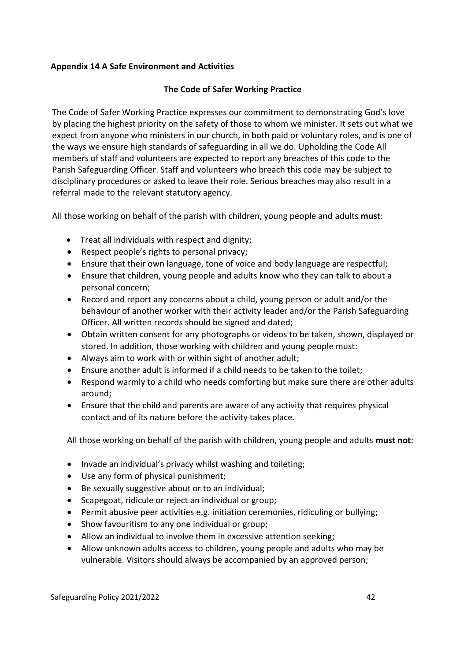## **Appendix 14 A Safe Environment and Activities**

#### **The Code of Safer Working Practice**

The Code of Safer Working Practice expresses our commitment to demonstrating God's love by placing the highest priority on the safety of those to whom we minister. It sets out what we expect from anyone who ministers in our church, in both paid or voluntary roles, and is one of the ways we ensure high standards of safeguarding in all we do. Upholding the Code All members of staff and volunteers are expected to report any breaches of this code to the Parish Safeguarding Officer. Staff and volunteers who breach this code may be subject to disciplinary procedures or asked to leave their role. Serious breaches may also result in a referral made to the relevant statutory agency.

All those working on behalf of the parish with children, young people and adults **must**:

- Treat all individuals with respect and dignity;
- Respect people's rights to personal privacy;
- Ensure that their own language, tone of voice and body language are respectful;
- Ensure that children, young people and adults know who they can talk to about a personal concern;
- Record and report any concerns about a child, young person or adult and/or the behaviour of another worker with their activity leader and/or the Parish Safeguarding Officer. All written records should be signed and dated;
- Obtain written consent for any photographs or videos to be taken, shown, displayed or stored. In addition, those working with children and young people must:
- Always aim to work with or within sight of another adult;
- Ensure another adult is informed if a child needs to be taken to the toilet;
- Respond warmly to a child who needs comforting but make sure there are other adults around;
- Ensure that the child and parents are aware of any activity that requires physical contact and of its nature before the activity takes place.

All those working on behalf of the parish with children, young people and adults **must not**:

- Invade an individual's privacy whilst washing and toileting;
- Use any form of physical punishment;
- Be sexually suggestive about or to an individual;
- Scapegoat, ridicule or reject an individual or group;
- Permit abusive peer activities e.g. initiation ceremonies, ridiculing or bullying;
- Show favouritism to any one individual or group;
- Allow an individual to involve them in excessive attention seeking;
- Allow unknown adults access to children, young people and adults who may be vulnerable. Visitors should always be accompanied by an approved person;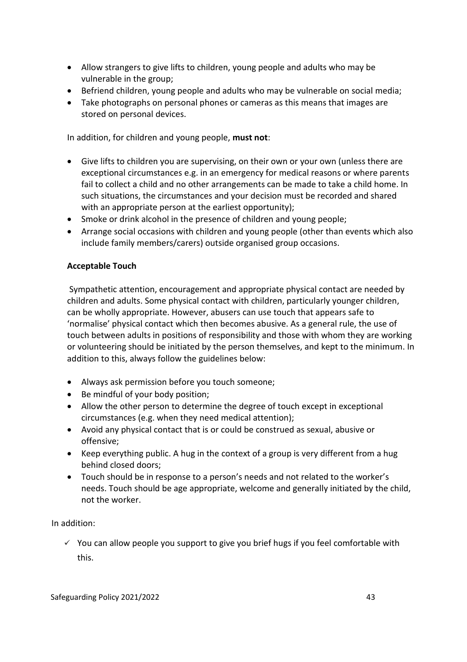- Allow strangers to give lifts to children, young people and adults who may be vulnerable in the group;
- Befriend children, young people and adults who may be vulnerable on social media;
- Take photographs on personal phones or cameras as this means that images are stored on personal devices.

In addition, for children and young people, **must not**:

- Give lifts to children you are supervising, on their own or your own (unless there are exceptional circumstances e.g. in an emergency for medical reasons or where parents fail to collect a child and no other arrangements can be made to take a child home. In such situations, the circumstances and your decision must be recorded and shared with an appropriate person at the earliest opportunity);
- Smoke or drink alcohol in the presence of children and young people;
- Arrange social occasions with children and young people (other than events which also include family members/carers) outside organised group occasions.

#### **Acceptable Touch**

Sympathetic attention, encouragement and appropriate physical contact are needed by children and adults. Some physical contact with children, particularly younger children, can be wholly appropriate. However, abusers can use touch that appears safe to 'normalise' physical contact which then becomes abusive. As a general rule, the use of touch between adults in positions of responsibility and those with whom they are working or volunteering should be initiated by the person themselves, and kept to the minimum. In addition to this, always follow the guidelines below:

- Always ask permission before you touch someone;
- Be mindful of your body position;
- Allow the other person to determine the degree of touch except in exceptional circumstances (e.g. when they need medical attention);
- Avoid any physical contact that is or could be construed as sexual, abusive or offensive;
- Keep everything public. A hug in the context of a group is very different from a hug behind closed doors;
- Touch should be in response to a person's needs and not related to the worker's needs. Touch should be age appropriate, welcome and generally initiated by the child, not the worker.

In addition:

 $\checkmark$  You can allow people you support to give you brief hugs if you feel comfortable with this.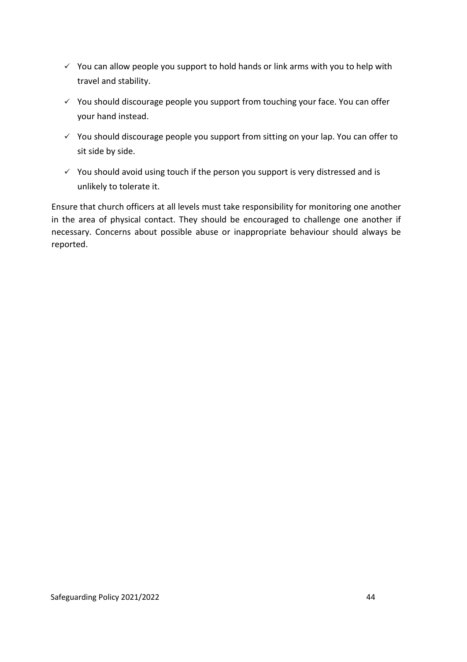- $\checkmark$  You can allow people you support to hold hands or link arms with you to help with travel and stability.
- ✓ You should discourage people you support from touching your face. You can offer your hand instead.
- $\checkmark$  You should discourage people you support from sitting on your lap. You can offer to sit side by side.
- $\checkmark$  You should avoid using touch if the person you support is very distressed and is unlikely to tolerate it.

Ensure that church officers at all levels must take responsibility for monitoring one another in the area of physical contact. They should be encouraged to challenge one another if necessary. Concerns about possible abuse or inappropriate behaviour should always be reported.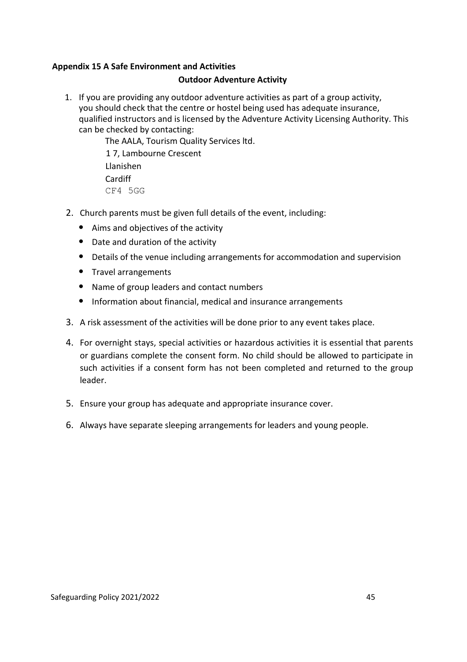#### **Appendix 15 A Safe Environment and Activities**

#### **Outdoor Adventure Activity**

1. If you are providing any outdoor adventure activities as part of a group activity, you should check that the centre or hostel being used has adequate insurance, qualified instructors and is licensed by the Adventure Activity Licensing Authority. This can be checked by contacting:

> The AALA, Tourism Quality Services ltd. 1 7, Lambourne Crescent Llanishen Cardiff CF4 5GG

- 2. Church parents must be given full details of the event, including:
	- Aims and objectives of the activity
	- Date and duration of the activity
	- Details of the venue including arrangements for accommodation and supervision
	- Travel arrangements
	- Name of group leaders and contact numbers
	- Information about financial, medical and insurance arrangements
- 3. A risk assessment of the activities will be done prior to any event takes place.
- 4. For overnight stays, special activities or hazardous activities it is essential that parents or guardians complete the consent form. No child should be allowed to participate in such activities if a consent form has not been completed and returned to the group leader.
- 5. Ensure your group has adequate and appropriate insurance cover.
- 6. Always have separate sleeping arrangements for leaders and young people.